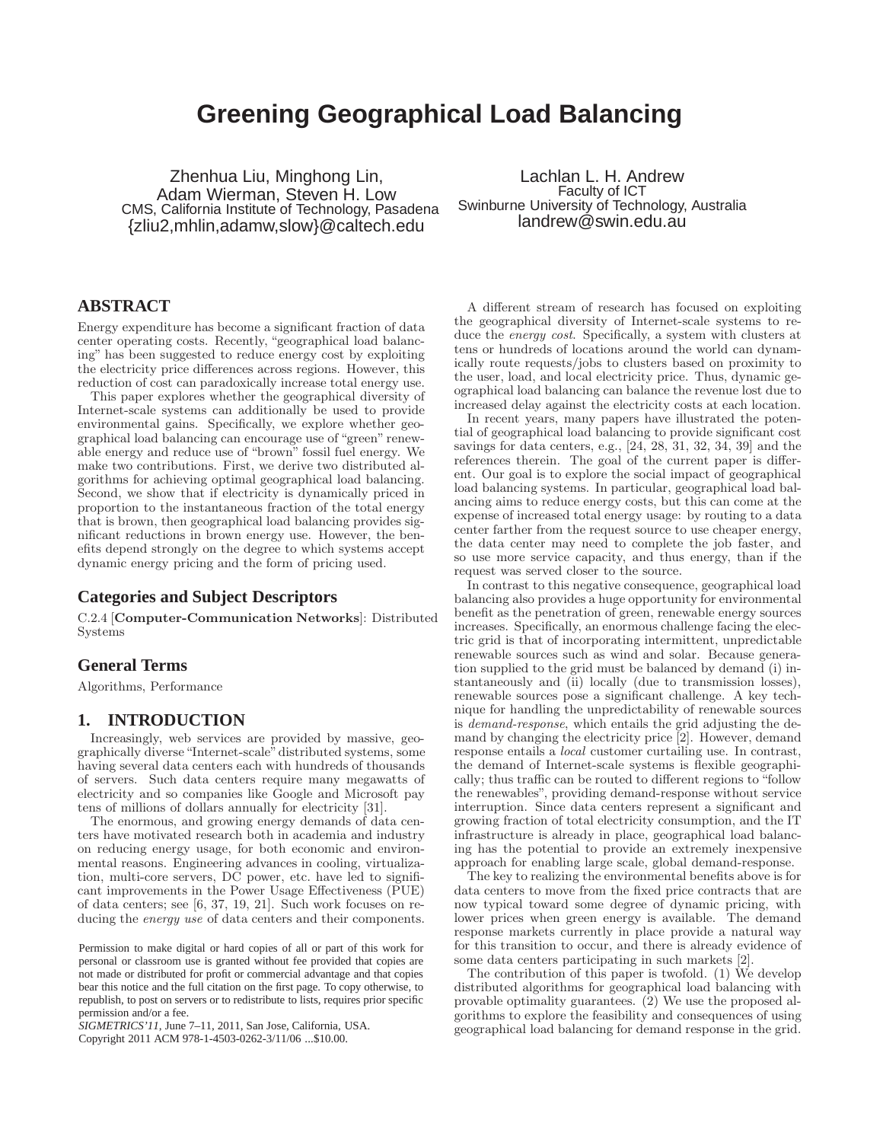# **Greening Geographical Load Balancing**

Zhenhua Liu, Minghong Lin, Adam Wierman, Steven H. Low CMS, California Institute of Technology, Pasadena {zliu2,mhlin,adamw,slow}@caltech.edu

Lachlan L. H. Andrew Faculty of ICT Swinburne University of Technology, Australia landrew@swin.edu.au

# **ABSTRACT**

Energy expenditure has become a significant fraction of data center operating costs. Recently, "geographical load balancing" has been suggested to reduce energy cost by exploiting the electricity price differences across regions. However, this reduction of cost can paradoxically increase total energy use.

This paper explores whether the geographical diversity of Internet-scale systems can additionally be used to provide environmental gains. Specifically, we explore whether geographical load balancing can encourage use of "green" renewable energy and reduce use of "brown" fossil fuel energy. We make two contributions. First, we derive two distributed algorithms for achieving optimal geographical load balancing. Second, we show that if electricity is dynamically priced in proportion to the instantaneous fraction of the total energy that is brown, then geographical load balancing provides significant reductions in brown energy use. However, the benefits depend strongly on the degree to which systems accept dynamic energy pricing and the form of pricing used.

### **Categories and Subject Descriptors**

C.2.4 [Computer-Communication Networks]: Distributed Systems

# **General Terms**

Algorithms, Performance

# **1. INTRODUCTION**

Increasingly, web services are provided by massive, geographically diverse "Internet-scale"distributed systems, some having several data centers each with hundreds of thousands of servers. Such data centers require many megawatts of electricity and so companies like Google and Microsoft pay tens of millions of dollars annually for electricity [31].

The enormous, and growing energy demands of data centers have motivated research both in academia and industry on reducing energy usage, for both economic and environmental reasons. Engineering advances in cooling, virtualization, multi-core servers, DC power, etc. have led to significant improvements in the Power Usage Effectiveness (PUE) of data centers; see [6, 37, 19, 21]. Such work focuses on reducing the *energy use* of data centers and their components.

*SIGMETRICS'11,* June 7–11, 2011, San Jose, California, USA. Copyright 2011 ACM 978-1-4503-0262-3/11/06 ...\$10.00.

A different stream of research has focused on exploiting the geographical diversity of Internet-scale systems to reduce the *energy cost*. Specifically, a system with clusters at tens or hundreds of locations around the world can dynamically route requests/jobs to clusters based on proximity to the user, load, and local electricity price. Thus, dynamic geographical load balancing can balance the revenue lost due to increased delay against the electricity costs at each location.

In recent years, many papers have illustrated the potential of geographical load balancing to provide significant cost savings for data centers, e.g., [24, 28, 31, 32, 34, 39] and the references therein. The goal of the current paper is different. Our goal is to explore the social impact of geographical load balancing systems. In particular, geographical load balancing aims to reduce energy costs, but this can come at the expense of increased total energy usage: by routing to a data center farther from the request source to use cheaper energy, the data center may need to complete the job faster, and so use more service capacity, and thus energy, than if the request was served closer to the source.

In contrast to this negative consequence, geographical load balancing also provides a huge opportunity for environmental benefit as the penetration of green, renewable energy sources increases. Specifically, an enormous challenge facing the electric grid is that of incorporating intermittent, unpredictable renewable sources such as wind and solar. Because generation supplied to the grid must be balanced by demand (i) instantaneously and (ii) locally (due to transmission losses), renewable sources pose a significant challenge. A key technique for handling the unpredictability of renewable sources is *demand-response*, which entails the grid adjusting the demand by changing the electricity price [2]. However, demand response entails a *local* customer curtailing use. In contrast, the demand of Internet-scale systems is flexible geographically; thus traffic can be routed to different regions to "follow the renewables", providing demand-response without service interruption. Since data centers represent a significant and growing fraction of total electricity consumption, and the IT infrastructure is already in place, geographical load balancing has the potential to provide an extremely inexpensive approach for enabling large scale, global demand-response.

The key to realizing the environmental benefits above is for data centers to move from the fixed price contracts that are now typical toward some degree of dynamic pricing, with lower prices when green energy is available. The demand response markets currently in place provide a natural way for this transition to occur, and there is already evidence of some data centers participating in such markets [2].

The contribution of this paper is twofold. (1) We develop distributed algorithms for geographical load balancing with provable optimality guarantees. (2) We use the proposed algorithms to explore the feasibility and consequences of using geographical load balancing for demand response in the grid.

Permission to make digital or hard copies of all or part of this work for personal or classroom use is granted without fee provided that copies are not made or distributed for profit or commercial advantage and that copies bear this notice and the full citation on the first page. To copy otherwise, to republish, to post on servers or to redistribute to lists, requires prior specific permission and/or a fee.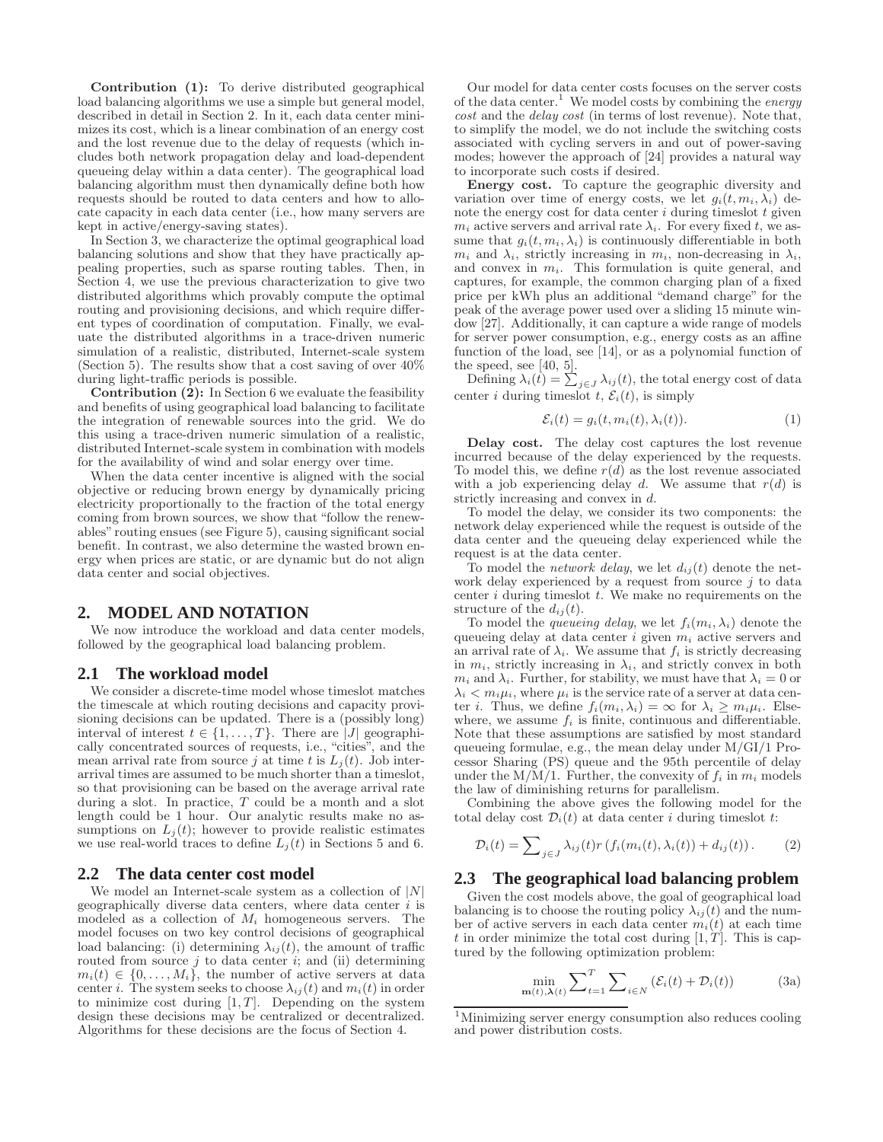Contribution (1): To derive distributed geographical load balancing algorithms we use a simple but general model, described in detail in Section 2. In it, each data center minimizes its cost, which is a linear combination of an energy cost and the lost revenue due to the delay of requests (which includes both network propagation delay and load-dependent queueing delay within a data center). The geographical load balancing algorithm must then dynamically define both how requests should be routed to data centers and how to allocate capacity in each data center (i.e., how many servers are kept in active/energy-saving states).

In Section 3, we characterize the optimal geographical load balancing solutions and show that they have practically appealing properties, such as sparse routing tables. Then, in Section 4, we use the previous characterization to give two distributed algorithms which provably compute the optimal routing and provisioning decisions, and which require different types of coordination of computation. Finally, we evaluate the distributed algorithms in a trace-driven numeric simulation of a realistic, distributed, Internet-scale system (Section 5). The results show that a cost saving of over 40% during light-traffic periods is possible.

Contribution (2): In Section 6 we evaluate the feasibility and benefits of using geographical load balancing to facilitate the integration of renewable sources into the grid. We do this using a trace-driven numeric simulation of a realistic, distributed Internet-scale system in combination with models for the availability of wind and solar energy over time.

When the data center incentive is aligned with the social objective or reducing brown energy by dynamically pricing electricity proportionally to the fraction of the total energy coming from brown sources, we show that "follow the renewables" routing ensues (see Figure 5), causing significant social benefit. In contrast, we also determine the wasted brown energy when prices are static, or are dynamic but do not align data center and social objectives.

### **2. MODEL AND NOTATION**

We now introduce the workload and data center models, followed by the geographical load balancing problem.

### **2.1 The workload model**

We consider a discrete-time model whose timeslot matches the timescale at which routing decisions and capacity provisioning decisions can be updated. There is a (possibly long) interval of interest  $t \in \{1, ..., T\}$ . There are |J| geographically concentrated sources of requests, i.e., "cities", and the mean arrival rate from source j at time t is  $L_i(t)$ . Job interarrival times are assumed to be much shorter than a timeslot, so that provisioning can be based on the average arrival rate during a slot. In practice,  $T$  could be a month and a slot length could be 1 hour. Our analytic results make no assumptions on  $L_i(t)$ ; however to provide realistic estimates we use real-world traces to define  $L_i(t)$  in Sections 5 and 6.

### **2.2 The data center cost model**

We model an Internet-scale system as a collection of  $|N|$ geographically diverse data centers, where data center  $i$  is modeled as a collection of  $M_i$  homogeneous servers. The model focuses on two key control decisions of geographical load balancing: (i) determining  $\lambda_{ij}(t)$ , the amount of traffic routed from source  $j$  to data center  $i$ ; and (ii) determining  $m_i(t) \in \{0, \ldots, M_i\}$ , the number of active servers at data center i. The system seeks to choose  $\lambda_{ij}(t)$  and  $m_i(t)$  in order to minimize cost during  $[1, T]$ . Depending on the system design these decisions may be centralized or decentralized. Algorithms for these decisions are the focus of Section 4.

Our model for data center costs focuses on the server costs of the data center.<sup>1</sup> We model costs by combining the *energy cost* and the *delay cost* (in terms of lost revenue). Note that, to simplify the model, we do not include the switching costs associated with cycling servers in and out of power-saving modes; however the approach of [24] provides a natural way to incorporate such costs if desired.

Energy cost. To capture the geographic diversity and variation over time of energy costs, we let  $g_i(t, m_i, \lambda_i)$  denote the energy cost for data center  $i$  during timeslot  $t$  given  $m_i$  active servers and arrival rate  $\lambda_i$ . For every fixed t, we assume that  $q_i(t, m_i, \lambda_i)$  is continuously differentiable in both  $m_i$  and  $\lambda_i$ , strictly increasing in  $m_i$ , non-decreasing in  $\lambda_i$ , and convex in  $m_i$ . This formulation is quite general, and captures, for example, the common charging plan of a fixed price per kWh plus an additional "demand charge" for the peak of the average power used over a sliding 15 minute window [27]. Additionally, it can capture a wide range of models for server power consumption, e.g., energy costs as an affine function of the load, see [14], or as a polynomial function of the speed, see [40, 5].

Defining  $\lambda_i(t) = \sum_{j \in J} \lambda_{ij}(t)$ , the total energy cost of data center i during timeslot t,  $\mathcal{E}_i(t)$ , is simply

$$
\mathcal{E}_i(t) = g_i(t, m_i(t), \lambda_i(t)).
$$
\n(1)

Delay cost. The delay cost captures the lost revenue incurred because of the delay experienced by the requests. To model this, we define  $r(d)$  as the lost revenue associated with a job experiencing delay d. We assume that  $r(d)$  is strictly increasing and convex in d.

To model the delay, we consider its two components: the network delay experienced while the request is outside of the data center and the queueing delay experienced while the request is at the data center.

To model the *network delay*, we let  $d_{ij}(t)$  denote the network delay experienced by a request from source  $j$  to data center  $i$  during timeslot  $t$ . We make no requirements on the structure of the  $d_{ij}(t)$ .

To model the *queueing delay*, we let  $f_i(m_i, \lambda_i)$  denote the queueing delay at data center  $i$  given  $m_i$  active servers and an arrival rate of  $\lambda_i$ . We assume that  $f_i$  is strictly decreasing in  $m_i$ , strictly increasing in  $\lambda_i$ , and strictly convex in both  $m_i$  and  $\lambda_i$ . Further, for stability, we must have that  $\lambda_i = 0$  or  $\lambda_i < m_i \mu_i$ , where  $\mu_i$  is the service rate of a server at data center *i*. Thus, we define  $f_i(m_i, \lambda_i) = \infty$  for  $\lambda_i \geq m_i \mu_i$ . Elsewhere, we assume  $f_i$  is finite, continuous and differentiable. Note that these assumptions are satisfied by most standard queueing formulae, e.g., the mean delay under M/GI/1 Processor Sharing (PS) queue and the 95th percentile of delay under the M/M/1. Further, the convexity of  $f_i$  in  $m_i$  models the law of diminishing returns for parallelism.

Combining the above gives the following model for the total delay cost  $\mathcal{D}_i(t)$  at data center i during timeslot t:

$$
\mathcal{D}_i(t) = \sum_{j \in J} \lambda_{ij}(t) r(f_i(m_i(t), \lambda_i(t)) + d_{ij}(t)). \tag{2}
$$

### **2.3 The geographical load balancing problem**

Given the cost models above, the goal of geographical load balancing is to choose the routing policy  $\lambda_{ij}(t)$  and the number of active servers in each data center  $m_i(t)$  at each time t in order minimize the total cost during  $[1, T]$ . This is captured by the following optimization problem:

$$
\min_{\mathbf{m}(t),\lambda(t)} \sum_{t=1}^{T} \sum_{i \in N} \left( \mathcal{E}_i(t) + \mathcal{D}_i(t) \right) \tag{3a}
$$

<sup>&</sup>lt;sup>1</sup>Minimizing server energy consumption also reduces cooling and power distribution costs.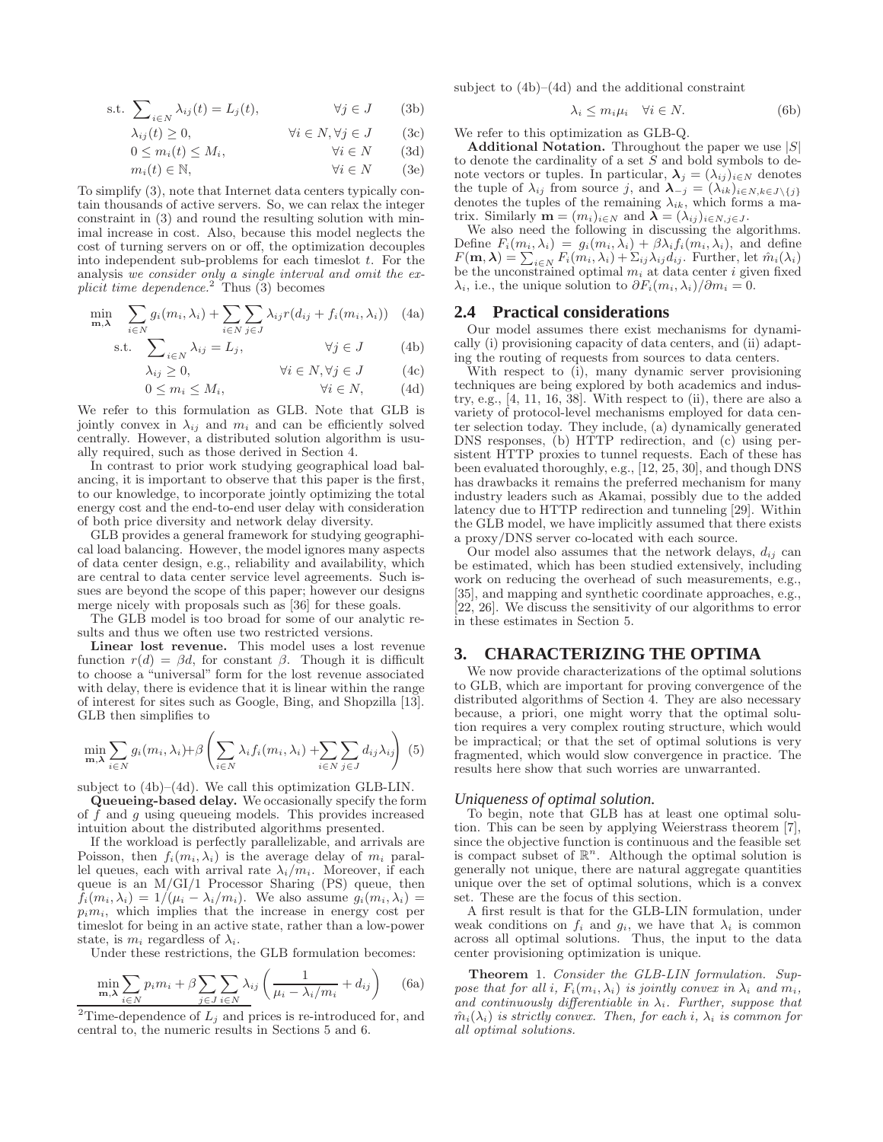$$
\text{s.t. } \sum_{i \in N} \lambda_{ij}(t) = L_j(t), \qquad \forall j \in J \qquad (3b)
$$

$$
\lambda_{ij}(t) \ge 0, \qquad \forall i \in N, \forall j \in J \qquad (3c)
$$

$$
0 \le m_i(t) \le M_i, \qquad \forall i \in N \qquad (30)
$$

$$
m_i(t) \in \mathbb{N}, \qquad \forall i \in N \qquad (3e)
$$

To simplify (3), note that Internet data centers typically contain thousands of active servers. So, we can relax the integer constraint in (3) and round the resulting solution with minimal increase in cost. Also, because this model neglects the cost of turning servers on or off, the optimization decouples into independent sub-problems for each timeslot  $t$ . For the analysis *we consider only a single interval and omit the explicit time dependence.*<sup>2</sup> Thus (3) becomes

$$
\min_{\mathbf{m},\lambda} \quad \sum_{i\in N} g_i(m_i,\lambda_i) + \sum_{i\in N} \sum_{j\in J} \lambda_{ij} r(d_{ij} + f_i(m_i,\lambda_i)) \quad (4a)
$$

s.t. 
$$
\sum_{i \in N} \lambda_{ij} = L_j, \qquad \forall j \in J \qquad (4b)
$$

$$
\lambda_{ij} \ge 0, \qquad \forall i \in N, \forall j \in J \qquad (4c)
$$

$$
0 \le m_i \le M_i, \qquad \forall i \in N, \qquad (4d)
$$

We refer to this formulation as GLB. Note that GLB is jointly convex in  $\lambda_{ij}$  and  $m_i$  and can be efficiently solved centrally. However, a distributed solution algorithm is usually required, such as those derived in Section 4.

In contrast to prior work studying geographical load balancing, it is important to observe that this paper is the first, to our knowledge, to incorporate jointly optimizing the total energy cost and the end-to-end user delay with consideration of both price diversity and network delay diversity.

GLB provides a general framework for studying geographical load balancing. However, the model ignores many aspects of data center design, e.g., reliability and availability, which are central to data center service level agreements. Such issues are beyond the scope of this paper; however our designs merge nicely with proposals such as [36] for these goals.

The GLB model is too broad for some of our analytic results and thus we often use two restricted versions.

Linear lost revenue. This model uses a lost revenue function  $r(d) = \beta d$ , for constant  $\beta$ . Though it is difficult to choose a "universal" form for the lost revenue associated with delay, there is evidence that it is linear within the range of interest for sites such as Google, Bing, and Shopzilla [13]. GLB then simplifies to

$$
\min_{\mathbf{m},\mathbf{\lambda}} \sum_{i\in N} g_i(m_i,\lambda_i) + \beta \left( \sum_{i\in N} \lambda_i f_i(m_i,\lambda_i) + \sum_{i\in N} \sum_{j\in J} d_{ij} \lambda_{ij} \right) (5)
$$

subject to (4b)–(4d). We call this optimization GLB-LIN.

Queueing-based delay. We occasionally specify the form of f and g using queueing models. This provides increased intuition about the distributed algorithms presented.

If the workload is perfectly parallelizable, and arrivals are Poisson, then  $f_i(m_i, \lambda_i)$  is the average delay of  $m_i$  parallel queues, each with arrival rate  $\lambda_i/m_i$ . Moreover, if each queue is an M/GI/1 Processor Sharing (PS) queue, then  $f_i(m_i, \lambda_i) = 1/(\mu_i - \lambda_i/m_i)$ . We also assume  $g_i(m_i, \lambda_i) =$  $p_i m_i$ , which implies that the increase in energy cost per timeslot for being in an active state, rather than a low-power state, is  $m_i$  regardless of  $\lambda_i$ .

Under these restrictions, the GLB formulation becomes:

$$
\min_{\mathbf{m},\lambda} \sum_{i \in N} p_i m_i + \beta \sum_{j \in J} \sum_{i \in N} \lambda_{ij} \left( \frac{1}{\mu_i - \lambda_i / m_i} + d_{ij} \right) \tag{6a}
$$

subject to  $(4b)–(4d)$  and the additional constraint

$$
\lambda_i \le m_i \mu_i \quad \forall i \in N. \tag{6b}
$$

We refer to this optimization as GLB-Q.

**Additional Notation.** Throughout the paper we use  $|S|$ to denote the cardinality of a set  $S$  and bold symbols to denote vectors or tuples. In particular,  $\lambda_j = (\lambda_{ij})_{i \in N}$  denotes the tuple of  $\lambda_{ij}$  from source j, and  $\lambda_{-j} = (\lambda_{ik})_{i \in N, k \in J\setminus\{j\}}$ denotes the tuples of the remaining  $\lambda_{ik}$ , which forms a matrix. Similarly  $\mathbf{m} = (m_i)_{i \in N}$  and  $\boldsymbol{\lambda} = (\lambda_{ij})_{i \in N, j \in J}$ .

We also need the following in discussing the algorithms. Define  $F_i(m_i, \lambda_i) = g_i(m_i, \lambda_i) + \beta \lambda_i f_i(m_i, \lambda_i)$ , and define  $F(\mathbf{m}, \lambda) = \sum_{i \in N} F_i(m_i, \lambda_i) + \sum_{ij} \lambda_{ij} d_{ij}$ . Further, let  $\hat{m}_i(\lambda_i)$ be the unconstrained optimal  $m_i$  at data center i given fixed  $\lambda_i$ , i.e., the unique solution to  $\partial F_i(m_i, \lambda_i)/\partial m_i = 0$ .

### **2.4 Practical considerations**

Our model assumes there exist mechanisms for dynamically (i) provisioning capacity of data centers, and (ii) adapting the routing of requests from sources to data centers.

With respect to (i), many dynamic server provisioning techniques are being explored by both academics and industry, e.g.,  $[4, 11, 16, 38]$ . With respect to  $(ii)$ , there are also a variety of protocol-level mechanisms employed for data center selection today. They include, (a) dynamically generated DNS responses, (b) HTTP redirection, and (c) using persistent HTTP proxies to tunnel requests. Each of these has been evaluated thoroughly, e.g., [12, 25, 30], and though DNS has drawbacks it remains the preferred mechanism for many industry leaders such as Akamai, possibly due to the added latency due to HTTP redirection and tunneling [29]. Within the GLB model, we have implicitly assumed that there exists a proxy/DNS server co-located with each source.

Our model also assumes that the network delays,  $d_{ij}$  can be estimated, which has been studied extensively, including work on reducing the overhead of such measurements, e.g., [35], and mapping and synthetic coordinate approaches, e.g., [22, 26]. We discuss the sensitivity of our algorithms to error in these estimates in Section 5.

# **3. CHARACTERIZING THE OPTIMA**

We now provide characterizations of the optimal solutions to GLB, which are important for proving convergence of the distributed algorithms of Section 4. They are also necessary because, a priori, one might worry that the optimal solution requires a very complex routing structure, which would be impractical; or that the set of optimal solutions is very fragmented, which would slow convergence in practice. The results here show that such worries are unwarranted.

### *Uniqueness of optimal solution.*

To begin, note that GLB has at least one optimal solution. This can be seen by applying Weierstrass theorem [7], since the objective function is continuous and the feasible set is compact subset of  $\mathbb{R}^n$ . Although the optimal solution is generally not unique, there are natural aggregate quantities unique over the set of optimal solutions, which is a convex set. These are the focus of this section.

A first result is that for the GLB-LIN formulation, under weak conditions on  $f_i$  and  $g_i$ , we have that  $\lambda_i$  is common across all optimal solutions. Thus, the input to the data center provisioning optimization is unique.

Theorem 1. *Consider the GLB-LIN formulation. Suppose that for all i*,  $F_i(m_i, \lambda_i)$  *is jointly convex in*  $\lambda_i$  *and*  $m_i$ *, and continuously differentiable in*  $\lambda_i$ *. Further, suppose that*  $\hat{m}_i(\lambda_i)$  *is strictly convex. Then, for each i,*  $\lambda_i$  *is common for all optimal solutions.*

<sup>&</sup>lt;sup>2</sup>Time-dependence of  $L_j$  and prices is re-introduced for, and central to, the numeric results in Sections 5 and 6.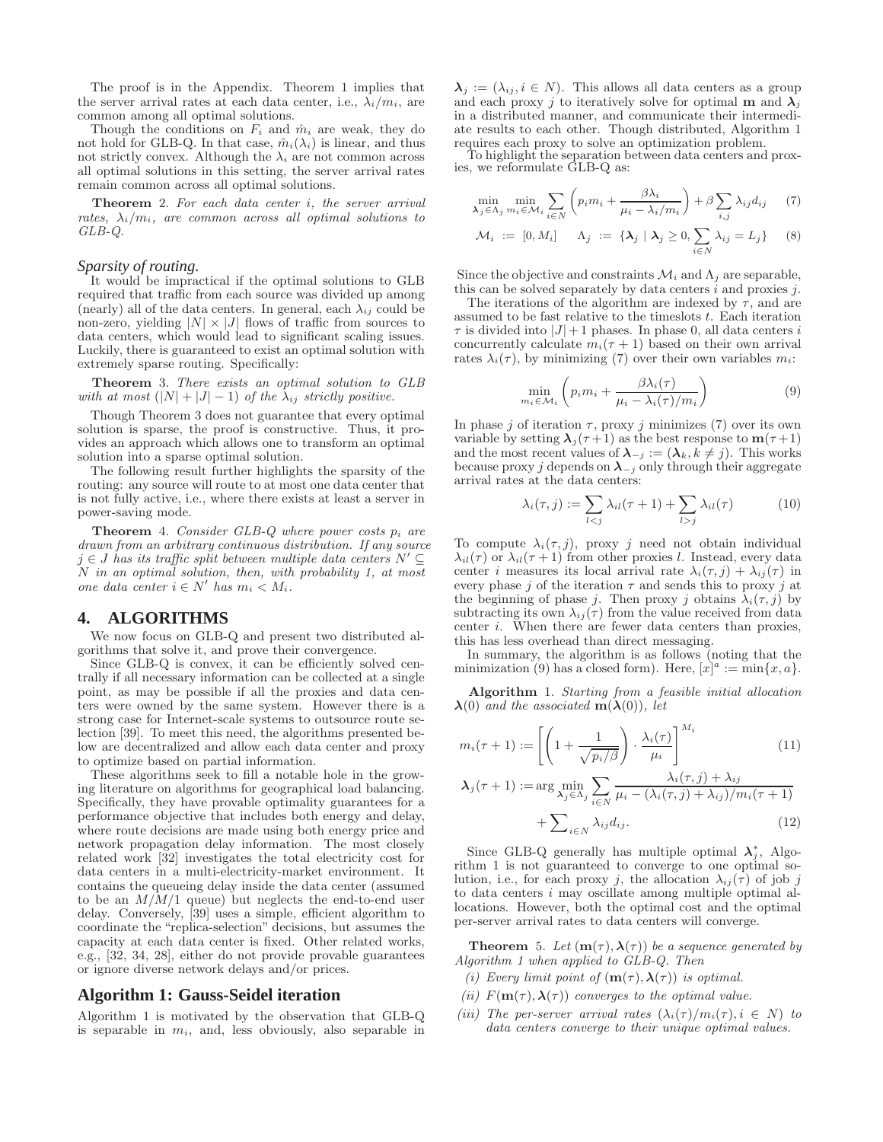The proof is in the Appendix. Theorem 1 implies that the server arrival rates at each data center, i.e.,  $\lambda_i/m_i$ , are common among all optimal solutions.

Though the conditions on  $F_i$  and  $\hat{m}_i$  are weak, they do not hold for GLB-Q. In that case,  $\hat{m}_i(\lambda_i)$  is linear, and thus not strictly convex. Although the  $\lambda_i$  are not common across all optimal solutions in this setting, the server arrival rates remain common across all optimal solutions.

Theorem 2. *For each data center* i*, the server arrival rates,*  $\lambda_i/m_i$ *, are common across all optimal solutions to GLB-Q.*

#### *Sparsity of routing.*

It would be impractical if the optimal solutions to GLB required that traffic from each source was divided up among (nearly) all of the data centers. In general, each  $\lambda_{ij}$  could be non-zero, yielding  $|N| \times |J|$  flows of traffic from sources to data centers, which would lead to significant scaling issues. Luckily, there is guaranteed to exist an optimal solution with extremely sparse routing. Specifically:

Theorem 3. *There exists an optimal solution to GLB with at most*  $(|N| + |J| - 1)$  *of the*  $\lambda_{ij}$  *strictly positive.* 

Though Theorem 3 does not guarantee that every optimal solution is sparse, the proof is constructive. Thus, it provides an approach which allows one to transform an optimal solution into a sparse optimal solution.

The following result further highlights the sparsity of the routing: any source will route to at most one data center that is not fully active, i.e., where there exists at least a server in power-saving mode.

**Theorem** 4. *Consider GLB-Q where power costs*  $p_i$  *are drawn from an arbitrary continuous distribution. If any source* j ∈ J *has its traffic split between multiple data centers* N ′ ⊆ N *in an optimal solution, then, with probability 1, at most one data center*  $i \in N'$  *has*  $m_i < M_i$ *.* 

# **4. ALGORITHMS**

We now focus on GLB-Q and present two distributed algorithms that solve it, and prove their convergence.

Since GLB-Q is convex, it can be efficiently solved centrally if all necessary information can be collected at a single point, as may be possible if all the proxies and data centers were owned by the same system. However there is a strong case for Internet-scale systems to outsource route selection [39]. To meet this need, the algorithms presented below are decentralized and allow each data center and proxy to optimize based on partial information.

These algorithms seek to fill a notable hole in the growing literature on algorithms for geographical load balancing. Specifically, they have provable optimality guarantees for a performance objective that includes both energy and delay, where route decisions are made using both energy price and network propagation delay information. The most closely related work [32] investigates the total electricity cost for data centers in a multi-electricity-market environment. It contains the queueing delay inside the data center (assumed to be an  $M/M/1$  queue) but neglects the end-to-end user delay. Conversely, [39] uses a simple, efficient algorithm to coordinate the "replica-selection" decisions, but assumes the capacity at each data center is fixed. Other related works, e.g., [32, 34, 28], either do not provide provable guarantees or ignore diverse network delays and/or prices.

### **Algorithm 1: Gauss-Seidel iteration**

Algorithm 1 is motivated by the observation that GLB-Q is separable in  $m_i$ , and, less obviously, also separable in  $\lambda_j := (\lambda_{ij}, i \in N)$ . This allows all data centers as a group and each proxy j to iteratively solve for optimal **m** and  $\lambda_j$ in a distributed manner, and communicate their intermediate results to each other. Though distributed, Algorithm 1 requires each proxy to solve an optimization problem.

To highlight the separation between data centers and proxies, we reformulate GLB-Q as:

$$
\min_{\lambda_j \in \Lambda_j} \min_{m_i \in \mathcal{M}_i} \sum_{i \in N} \left( p_i m_i + \frac{\beta \lambda_i}{\mu_i - \lambda_i / m_i} \right) + \beta \sum_{i,j} \lambda_{ij} d_{ij} \tag{7}
$$

$$
\mathcal{M}_i := [0, M_i] \quad \Lambda_j := \{ \lambda_j \mid \lambda_j \geq 0, \sum_{i \in N} \lambda_{ij} = L_j \} \quad (8)
$$

Since the objective and constraints  $\mathcal{M}_i$  and  $\Lambda_j$  are separable, this can be solved separately by data centers  $i$  and proxies  $j$ .

The iterations of the algorithm are indexed by  $\tau$ , and are assumed to be fast relative to the timeslots  $t$ . Each iteration  $\tau$  is divided into  $|J|+1$  phases. In phase 0, all data centers i concurrently calculate  $m_i(\tau + 1)$  based on their own arrival rates  $\lambda_i(\tau)$ , by minimizing (7) over their own variables  $m_i$ :

$$
\min_{m_i \in \mathcal{M}_i} \left( p_i m_i + \frac{\beta \lambda_i(\tau)}{\mu_i - \lambda_i(\tau)/m_i} \right) \tag{9}
$$

In phase j of iteration  $\tau$ , proxy j minimizes (7) over its own variable by setting  $\lambda_j(\tau+1)$  as the best response to  $m(\tau+1)$ and the most recent values of  $\lambda_{-j} := (\lambda_k, k \neq j)$ . This works because proxy j depends on  $\lambda_{-j}$  only through their aggregate arrival rates at the data centers:

$$
\lambda_i(\tau, j) := \sum_{l < j} \lambda_{il}(\tau + 1) + \sum_{l > j} \lambda_{il}(\tau) \tag{10}
$$

To compute  $\lambda_i(\tau, j)$ , proxy j need not obtain individual  $\lambda_{il}(\tau)$  or  $\lambda_{il}(\tau+1)$  from other proxies l. Instead, every data center *i* measures its local arrival rate  $\lambda_i(\tau, j) + \lambda_{ij}(\tau)$  in every phase j of the iteration  $\tau$  and sends this to proxy j at the beginning of phase j. Then proxy j obtains  $\lambda_i(\tau, j)$  by subtracting its own  $\lambda_{ij}(\tau)$  from the value received from data center i. When there are fewer data centers than proxies, this has less overhead than direct messaging.

In summary, the algorithm is as follows (noting that the minimization (9) has a closed form). Here,  $[x]^a := \min\{x, a\}.$ 

Algorithm 1. *Starting from a feasible initial allocation*  $\lambda(0)$  *and the associated*  $m(\lambda(0))$ *, let* 

$$
m_i(\tau + 1) := \left[ \left( 1 + \frac{1}{\sqrt{p_i/\beta}} \right) \cdot \frac{\lambda_i(\tau)}{\mu_i} \right]^{M_i}
$$
(11)

$$
\lambda_j(\tau+1) := \arg \min_{\lambda_j \in \Lambda_j} \sum_{i \in N} \frac{\lambda_i(\tau, j) + \lambda_{ij}}{\mu_i - (\lambda_i(\tau, j) + \lambda_{ij})/m_i(\tau + 1)} + \sum_{i \in N} \lambda_{ij} d_{ij}.
$$
\n(12)

Since GLB-Q generally has multiple optimal  $\lambda_j^*$ , Algorithm 1 is not guaranteed to converge to one optimal solution, i.e., for each proxy j, the allocation  $\lambda_{ij}(\tau)$  of job j to data centers i may oscillate among multiple optimal allocations. However, both the optimal cost and the optimal per-server arrival rates to data centers will converge.

**Theorem** 5. Let  $(m(\tau), \lambda(\tau))$  be a sequence generated by *Algorithm 1 when applied to GLB-Q. Then*

- *(i)* Every limit point of  $(m(\tau), \lambda(\tau))$  is optimal.
- *(ii)*  $F(\mathbf{m}(\tau), \lambda(\tau))$  *converges to the optimal value.*
- *(iii)* The per-server arrival rates  $(\lambda_i(\tau)/m_i(\tau), i \in N)$  to *data centers converge to their unique optimal values.*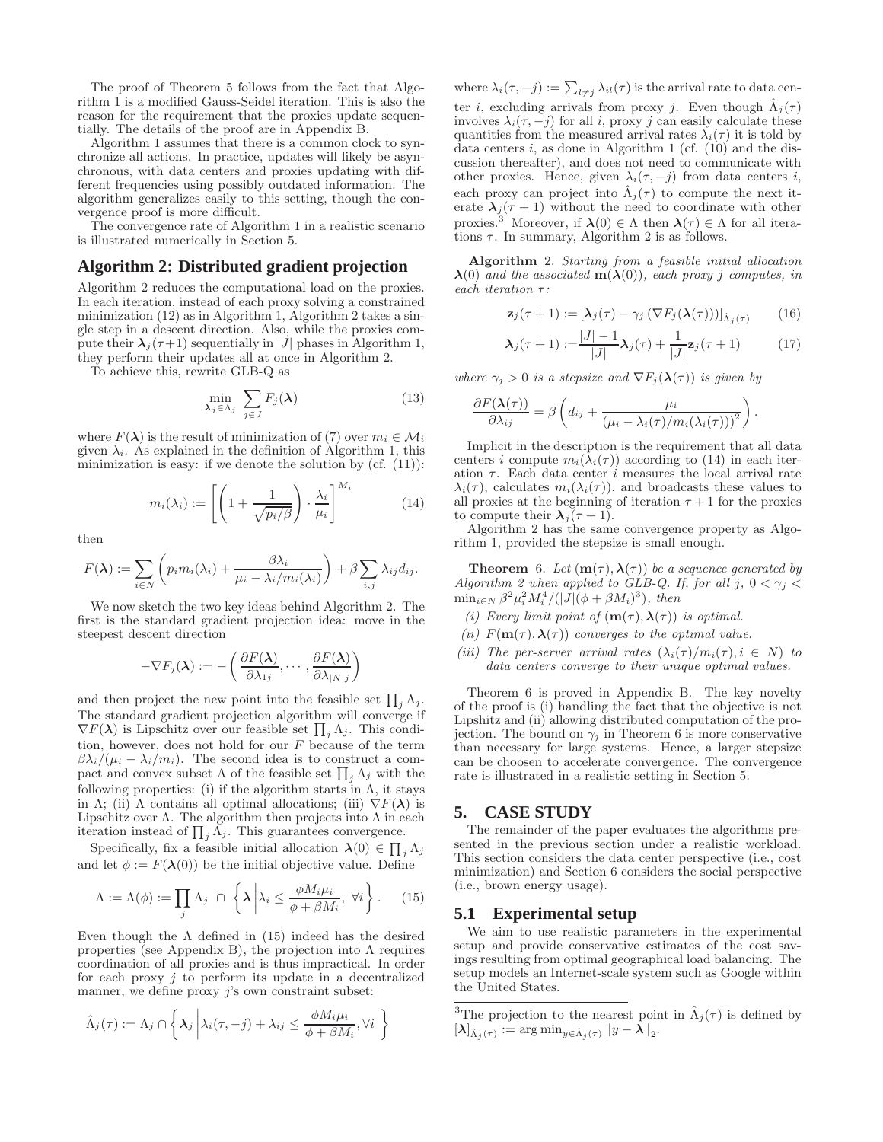The proof of Theorem 5 follows from the fact that Algorithm 1 is a modified Gauss-Seidel iteration. This is also the reason for the requirement that the proxies update sequentially. The details of the proof are in Appendix B.

Algorithm 1 assumes that there is a common clock to synchronize all actions. In practice, updates will likely be asynchronous, with data centers and proxies updating with different frequencies using possibly outdated information. The algorithm generalizes easily to this setting, though the convergence proof is more difficult.

The convergence rate of Algorithm 1 in a realistic scenario is illustrated numerically in Section 5.

### **Algorithm 2: Distributed gradient projection**

Algorithm 2 reduces the computational load on the proxies. In each iteration, instead of each proxy solving a constrained minimization (12) as in Algorithm 1, Algorithm 2 takes a single step in a descent direction. Also, while the proxies compute their  $\lambda_i(\tau+1)$  sequentially in |J| phases in Algorithm 1, they perform their updates all at once in Algorithm 2.

To achieve this, rewrite GLB-Q as

$$
\min_{\lambda_j \in \Lambda_j} \sum_{j \in J} F_j(\lambda) \tag{13}
$$

where  $F(\lambda)$  is the result of minimization of (7) over  $m_i \in \mathcal{M}_i$ given  $\lambda_i$ . As explained in the definition of Algorithm 1, this minimization is easy: if we denote the solution by  $(cf. (11))$ :

$$
m_i(\lambda_i) := \left[ \left( 1 + \frac{1}{\sqrt{p_i/\beta}} \right) \cdot \frac{\lambda_i}{\mu_i} \right]^{M_i} \tag{14}
$$

then

$$
F(\boldsymbol{\lambda}) := \sum_{i \in N} \left( p_i m_i(\lambda_i) + \frac{\beta \lambda_i}{\mu_i - \lambda_i/m_i(\lambda_i)} \right) + \beta \sum_{i,j} \lambda_{ij} d_{ij}.
$$

We now sketch the two key ideas behind Algorithm 2. The first is the standard gradient projection idea: move in the steepest descent direction

$$
-\nabla F_j(\boldsymbol{\lambda}) := -\left(\frac{\partial F(\boldsymbol{\lambda})}{\partial \lambda_{1j}}, \cdots, \frac{\partial F(\boldsymbol{\lambda})}{\partial \lambda_{|N|j}}\right)
$$

and then project the new point into the feasible set  $\prod_j \Lambda_j$ . The standard gradient projection algorithm will converge if  $\nabla F(\lambda)$  is Lipschitz over our feasible set  $\prod_j \Lambda_j$ . This condition, however, does not hold for our  $F$  because of the term  $\beta \lambda_i/(\mu_i - \lambda_i/m_i)$ . The second idea is to construct a compact and convex subset  $\Lambda$  of the feasible set  $\prod_j \Lambda_j$  with the following properties: (i) if the algorithm starts in  $\Lambda$ , it stays in Λ; (ii) Λ contains all optimal allocations; (iii)  $\nabla F(\lambda)$  is Lipschitz over  $\Lambda$ . The algorithm then projects into  $\Lambda$  in each iteration instead of  $\prod_j \Lambda_j$ . This guarantees convergence.

Specifically, fix a feasible initial allocation  $\lambda(0) \in \prod_j \Lambda_j$ and let  $\phi := F(\lambda(0))$  be the initial objective value. Define

$$
\Lambda := \Lambda(\phi) := \prod_j \Lambda_j \cap \left\{ \lambda \, \middle| \, \lambda_i \leq \frac{\phi M_i \mu_i}{\phi + \beta M_i}, \ \forall i \right\}. \tag{15}
$$

Even though the  $\Lambda$  defined in (15) indeed has the desired properties (see Appendix B), the projection into  $\Lambda$  requires coordination of all proxies and is thus impractical. In order for each proxy  $i$  to perform its update in a decentralized manner, we define proxy  $j$ 's own constraint subset:

$$
\hat{\Lambda}_j(\tau) := \Lambda_j \cap \left\{ \lambda_j \left| \lambda_i(\tau, -j) + \lambda_{ij} \leq \frac{\phi M_i \mu_i}{\phi + \beta M_i}, \forall i \right. \right\}
$$

where  $\lambda_i(\tau, -j) := \sum_{l \neq j} \lambda_{il}(\tau)$  is the arrival rate to data center *i*, excluding arrivals from proxy *j*. Even though  $\tilde{\Lambda}_j(\tau)$ involves  $\lambda_i(\tau, -j)$  for all i, proxy j can easily calculate these quantities from the measured arrival rates  $\lambda_i(\tau)$  it is told by data centers i, as done in Algorithm 1 (cf.  $(10)$ ) and the discussion thereafter), and does not need to communicate with other proxies. Hence, given  $\lambda_i(\tau, -j)$  from data centers i, each proxy can project into  $\hat{\Lambda}_j(\tau)$  to compute the next iterate  $\lambda_j(\tau+1)$  without the need to coordinate with other proxies.<sup>3</sup> Moreover, if  $\lambda(0) \in \Lambda$  then  $\lambda(\tau) \in \Lambda$  for all iterations  $\tau$ . In summary, Algorithm 2 is as follows.

Algorithm 2. *Starting from a feasible initial allocation*  $\lambda(0)$  *and the associated*  $m(\lambda(0))$ *, each proxy j computes, in each iteration* τ *:*

$$
\mathbf{z}_{j}(\tau+1) := \left[\boldsymbol{\lambda}_{j}(\tau) - \gamma_{j} \left(\nabla F_{j}(\boldsymbol{\lambda}(\tau))\right)\right]_{\hat{\Lambda}_{j}(\tau)} \tag{16}
$$

$$
\lambda_j(\tau+1) := \frac{|J|-1}{|J|} \lambda_j(\tau) + \frac{1}{|J|} \mathbf{z}_j(\tau+1)
$$
 (17)

.

*where*  $\gamma_j > 0$  *is a stepsize and*  $\nabla F_j(\lambda(\tau))$  *is given by* 

$$
\frac{\partial F(\boldsymbol{\lambda}(\tau))}{\partial \lambda_{ij}} = \beta \left( d_{ij} + \frac{\mu_i}{(\mu_i - \lambda_i(\tau)/m_i(\lambda_i(\tau)))^2} \right)
$$

Implicit in the description is the requirement that all data centers i compute  $m_i(\lambda_i(\tau))$  according to (14) in each iteration  $\tau$ . Each data center *i* measures the local arrival rate  $\lambda_i(\tau)$ , calculates  $m_i(\lambda_i(\tau))$ , and broadcasts these values to all proxies at the beginning of iteration  $\tau + 1$  for the proxies to compute their  $\lambda_j(\tau+1)$ .

Algorithm 2 has the same convergence property as Algorithm 1, provided the stepsize is small enough.

**Theorem** 6. Let  $(m(\tau), \lambda(\tau))$  be a sequence generated by *Algorithm 2 when applied to GLB-Q. If, for all j,*  $0 < \gamma_i$  $\min_{i \in N} \beta^2 \mu_i^2 M_i^4 / (|J|(\phi + \beta M_i)^3)$ , then

- *(i)* Every limit point of  $(m(\tau), \lambda(\tau))$  is optimal.
- *(ii)*  $F(\mathbf{m}(\tau), \lambda(\tau))$  *converges to the optimal value.*
- *(iii)* The per-server arrival rates  $(\lambda_i(\tau)/m_i(\tau), i \in N)$  to *data centers converge to their unique optimal values.*

Theorem 6 is proved in Appendix B. The key novelty of the proof is (i) handling the fact that the objective is not Lipshitz and (ii) allowing distributed computation of the projection. The bound on  $\gamma_i$  in Theorem 6 is more conservative than necessary for large systems. Hence, a larger stepsize can be choosen to accelerate convergence. The convergence rate is illustrated in a realistic setting in Section 5.

### **5. CASE STUDY**

The remainder of the paper evaluates the algorithms presented in the previous section under a realistic workload. This section considers the data center perspective (i.e., cost minimization) and Section 6 considers the social perspective (i.e., brown energy usage).

### **5.1 Experimental setup**

We aim to use realistic parameters in the experimental setup and provide conservative estimates of the cost savings resulting from optimal geographical load balancing. The setup models an Internet-scale system such as Google within the United States.

<sup>3</sup>The projection to the nearest point in  $\hat{\Lambda}_j(\tau)$  is defined by  $[\lambda]_{\hat{\Lambda}_j(\tau)} := \arg \min_{y \in \hat{\Lambda}_j(\tau)} ||y - \hat{\lambda}||_2.$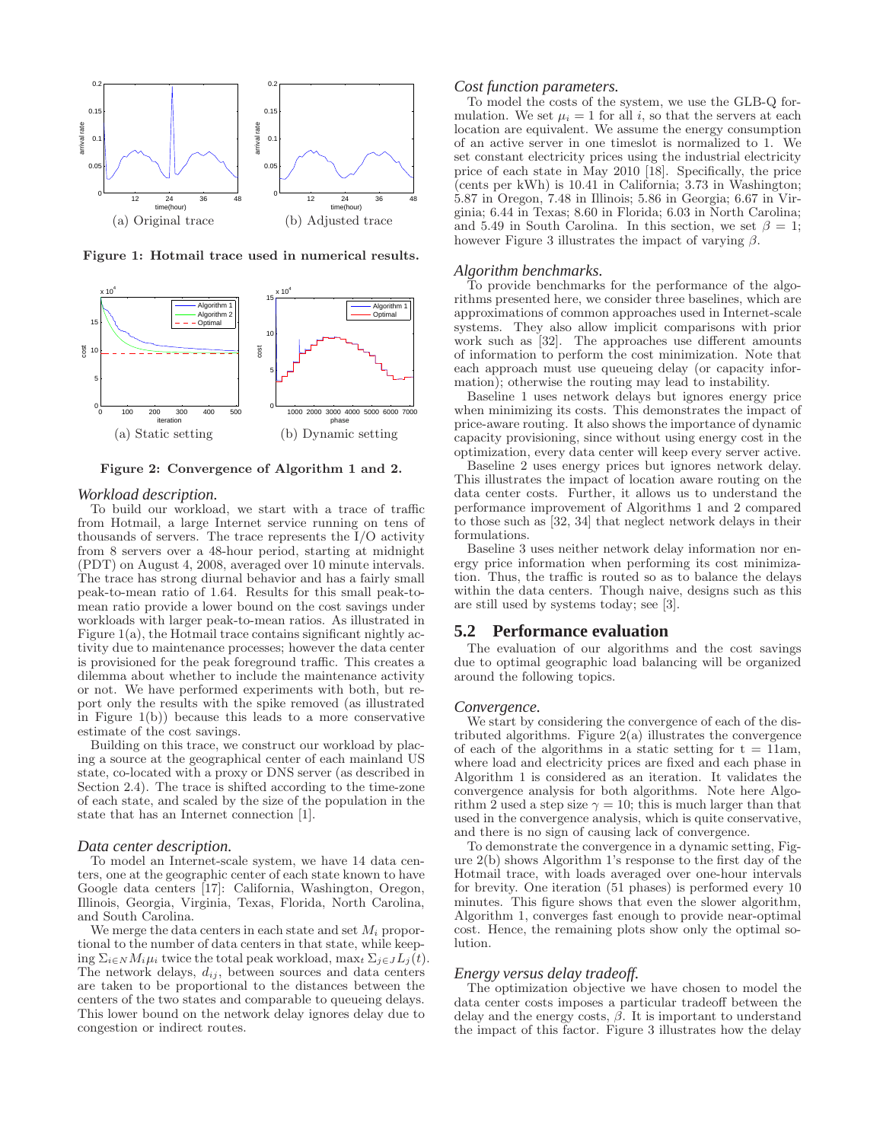

Figure 1: Hotmail trace used in numerical results.



Figure 2: Convergence of Algorithm 1 and 2.

### *Workload description.*

To build our workload, we start with a trace of traffic from Hotmail, a large Internet service running on tens of thousands of servers. The trace represents the I/O activity from 8 servers over a 48-hour period, starting at midnight (PDT) on August 4, 2008, averaged over 10 minute intervals. The trace has strong diurnal behavior and has a fairly small peak-to-mean ratio of 1.64. Results for this small peak-tomean ratio provide a lower bound on the cost savings under workloads with larger peak-to-mean ratios. As illustrated in Figure 1(a), the Hotmail trace contains significant nightly activity due to maintenance processes; however the data center is provisioned for the peak foreground traffic. This creates a dilemma about whether to include the maintenance activity or not. We have performed experiments with both, but report only the results with the spike removed (as illustrated in Figure 1(b)) because this leads to a more conservative estimate of the cost savings.

Building on this trace, we construct our workload by placing a source at the geographical center of each mainland US state, co-located with a proxy or DNS server (as described in Section 2.4). The trace is shifted according to the time-zone of each state, and scaled by the size of the population in the state that has an Internet connection [1].

#### *Data center description.*

To model an Internet-scale system, we have 14 data centers, one at the geographic center of each state known to have Google data centers [17]: California, Washington, Oregon, Illinois, Georgia, Virginia, Texas, Florida, North Carolina, and South Carolina.

We merge the data centers in each state and set  $M_i$  proportional to the number of data centers in that state, while keeping  $\Sigma_{i\in N}M_i\mu_i$  twice the total peak workload, max $\iota \Sigma_{j\in J}L_j(t)$ . The network delays,  $d_{ij}$ , between sources and data centers are taken to be proportional to the distances between the centers of the two states and comparable to queueing delays. This lower bound on the network delay ignores delay due to congestion or indirect routes.

### *Cost function parameters.*

To model the costs of the system, we use the GLB-Q formulation. We set  $\mu_i = 1$  for all i, so that the servers at each location are equivalent. We assume the energy consumption of an active server in one timeslot is normalized to 1. We set constant electricity prices using the industrial electricity price of each state in May 2010 [18]. Specifically, the price (cents per kWh) is 10.41 in California; 3.73 in Washington; 5.87 in Oregon, 7.48 in Illinois; 5.86 in Georgia; 6.67 in Virginia; 6.44 in Texas; 8.60 in Florida; 6.03 in North Carolina; and 5.49 in South Carolina. In this section, we set  $\beta = 1$ ; however Figure 3 illustrates the impact of varying  $\beta$ .

#### *Algorithm benchmarks.*

To provide benchmarks for the performance of the algorithms presented here, we consider three baselines, which are approximations of common approaches used in Internet-scale systems. They also allow implicit comparisons with prior work such as [32]. The approaches use different amounts of information to perform the cost minimization. Note that each approach must use queueing delay (or capacity information); otherwise the routing may lead to instability.

Baseline 1 uses network delays but ignores energy price when minimizing its costs. This demonstrates the impact of price-aware routing. It also shows the importance of dynamic capacity provisioning, since without using energy cost in the optimization, every data center will keep every server active.

Baseline 2 uses energy prices but ignores network delay. This illustrates the impact of location aware routing on the data center costs. Further, it allows us to understand the performance improvement of Algorithms 1 and 2 compared to those such as [32, 34] that neglect network delays in their formulations.

Baseline 3 uses neither network delay information nor energy price information when performing its cost minimization. Thus, the traffic is routed so as to balance the delays within the data centers. Though naive, designs such as this are still used by systems today; see [3].

### **5.2 Performance evaluation**

The evaluation of our algorithms and the cost savings due to optimal geographic load balancing will be organized around the following topics.

#### *Convergence.*

We start by considering the convergence of each of the distributed algorithms. Figure 2(a) illustrates the convergence of each of the algorithms in a static setting for  $t = 11$ am, where load and electricity prices are fixed and each phase in Algorithm 1 is considered as an iteration. It validates the convergence analysis for both algorithms. Note here Algorithm 2 used a step size  $\gamma = 10$ ; this is much larger than that used in the convergence analysis, which is quite conservative, and there is no sign of causing lack of convergence.

To demonstrate the convergence in a dynamic setting, Figure 2(b) shows Algorithm 1's response to the first day of the Hotmail trace, with loads averaged over one-hour intervals for brevity. One iteration (51 phases) is performed every 10 minutes. This figure shows that even the slower algorithm, Algorithm 1, converges fast enough to provide near-optimal cost. Hence, the remaining plots show only the optimal solution.

#### *Energy versus delay tradeoff.*

The optimization objective we have chosen to model the data center costs imposes a particular tradeoff between the delay and the energy costs,  $\beta$ . It is important to understand the impact of this factor. Figure 3 illustrates how the delay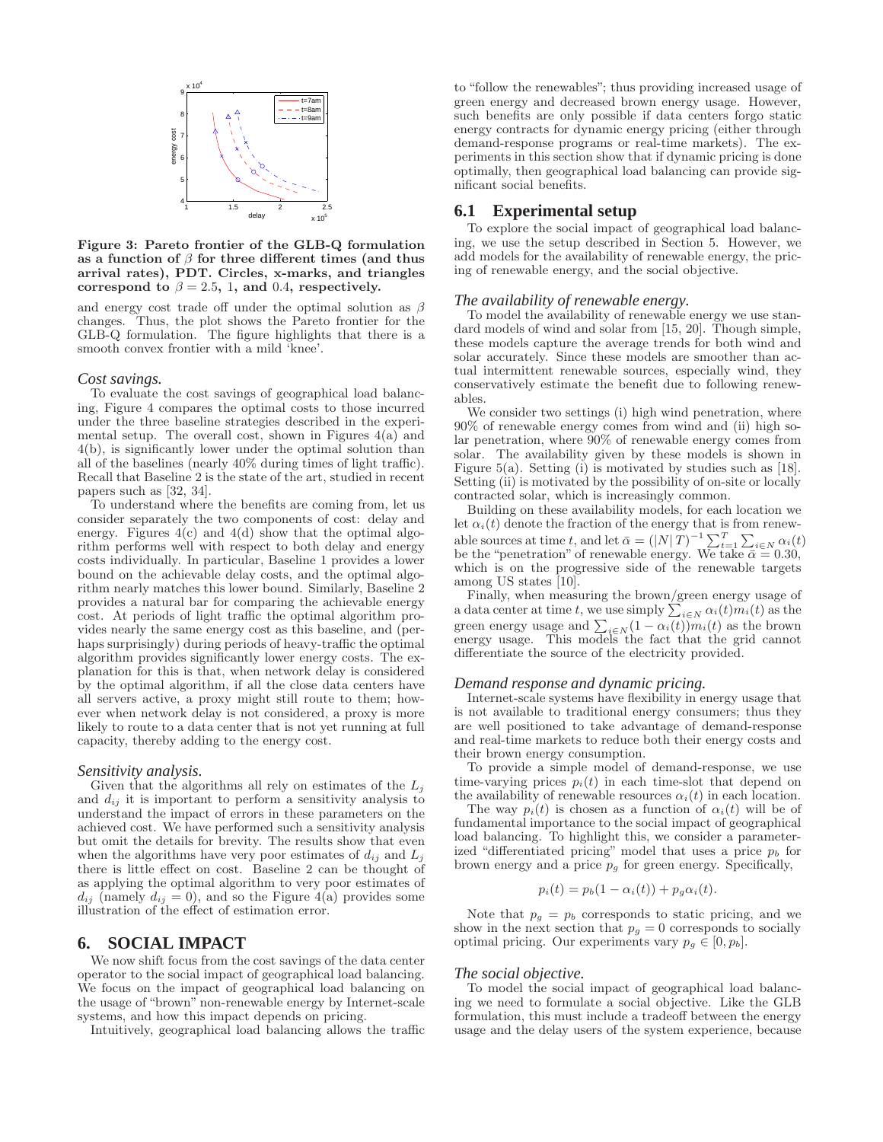

Figure 3: Pareto frontier of the GLB-Q formulation as a function of  $\beta$  for three different times (and thus arrival rates), PDT. Circles, x-marks, and triangles correspond to  $\beta = 2.5$ , 1, and 0.4, respectively.

and energy cost trade off under the optimal solution as  $\beta$ changes. Thus, the plot shows the Pareto frontier for the GLB-Q formulation. The figure highlights that there is a smooth convex frontier with a mild 'knee'.

### *Cost savings.*

To evaluate the cost savings of geographical load balancing, Figure 4 compares the optimal costs to those incurred under the three baseline strategies described in the experimental setup. The overall cost, shown in Figures 4(a) and 4(b), is significantly lower under the optimal solution than all of the baselines (nearly 40% during times of light traffic). Recall that Baseline 2 is the state of the art, studied in recent papers such as [32, 34].

To understand where the benefits are coming from, let us consider separately the two components of cost: delay and energy. Figures  $4(c)$  and  $4(d)$  show that the optimal algorithm performs well with respect to both delay and energy costs individually. In particular, Baseline 1 provides a lower bound on the achievable delay costs, and the optimal algorithm nearly matches this lower bound. Similarly, Baseline 2 provides a natural bar for comparing the achievable energy cost. At periods of light traffic the optimal algorithm provides nearly the same energy cost as this baseline, and (perhaps surprisingly) during periods of heavy-traffic the optimal algorithm provides significantly lower energy costs. The explanation for this is that, when network delay is considered by the optimal algorithm, if all the close data centers have all servers active, a proxy might still route to them; however when network delay is not considered, a proxy is more likely to route to a data center that is not yet running at full capacity, thereby adding to the energy cost.

#### *Sensitivity analysis.*

Given that the algorithms all rely on estimates of the  $L_j$ and  $d_{ij}$  it is important to perform a sensitivity analysis to understand the impact of errors in these parameters on the achieved cost. We have performed such a sensitivity analysis but omit the details for brevity. The results show that even when the algorithms have very poor estimates of  $d_{ij}$  and  $L_j$ there is little effect on cost. Baseline 2 can be thought of as applying the optimal algorithm to very poor estimates of  $d_{ij}$  (namely  $d_{ij} = 0$ ), and so the Figure 4(a) provides some illustration of the effect of estimation error.

# **6. SOCIAL IMPACT**

We now shift focus from the cost savings of the data center operator to the social impact of geographical load balancing. We focus on the impact of geographical load balancing on the usage of "brown" non-renewable energy by Internet-scale systems, and how this impact depends on pricing.

Intuitively, geographical load balancing allows the traffic

to "follow the renewables"; thus providing increased usage of green energy and decreased brown energy usage. However, such benefits are only possible if data centers forgo static energy contracts for dynamic energy pricing (either through demand-response programs or real-time markets). The experiments in this section show that if dynamic pricing is done optimally, then geographical load balancing can provide significant social benefits.

### **6.1 Experimental setup**

To explore the social impact of geographical load balancing, we use the setup described in Section 5. However, we add models for the availability of renewable energy, the pricing of renewable energy, and the social objective.

### *The availability of renewable energy.*

To model the availability of renewable energy we use standard models of wind and solar from [15, 20]. Though simple, these models capture the average trends for both wind and solar accurately. Since these models are smoother than actual intermittent renewable sources, especially wind, they conservatively estimate the benefit due to following renewables.

We consider two settings (i) high wind penetration, where 90% of renewable energy comes from wind and (ii) high solar penetration, where 90% of renewable energy comes from solar. The availability given by these models is shown in Figure 5(a). Setting (i) is motivated by studies such as [18]. Setting (ii) is motivated by the possibility of on-site or locally contracted solar, which is increasingly common.

Building on these availability models, for each location we let  $\alpha_i(t)$  denote the fraction of the energy that is from renewable sources at time t, and let  $\bar{\alpha} = (N|T)^{-1} \sum_{t=1}^{T} \sum_{i \in N} \alpha_i(t)$ <br>be the "penetration" of renewable energy. We take  $\bar{\alpha} = 0.30$ , which is on the progressive side of the renewable targets among US states [10].

Finally, when measuring the brown/green energy usage of a data center at time t, we use simply  $\sum_{i \in N} \alpha_i(t) m_i(t)$  as the green energy usage and  $\sum_{i \in N} (1 - \alpha_i(t)) m_i(t)$  as the brown energy usage. This models the fact that the grid cannot differentiate the source of the electricity provided.

#### *Demand response and dynamic pricing.*

Internet-scale systems have flexibility in energy usage that is not available to traditional energy consumers; thus they are well positioned to take advantage of demand-response and real-time markets to reduce both their energy costs and their brown energy consumption.

To provide a simple model of demand-response, we use time-varying prices  $p_i(t)$  in each time-slot that depend on the availability of renewable resources  $\alpha_i(t)$  in each location.

The way  $p_i(t)$  is chosen as a function of  $\alpha_i(t)$  will be of fundamental importance to the social impact of geographical load balancing. To highlight this, we consider a parameterized "differentiated pricing" model that uses a price  $p_b$  for brown energy and a price  $p<sub>g</sub>$  for green energy. Specifically,

$$
p_i(t) = p_b(1 - \alpha_i(t)) + p_g \alpha_i(t).
$$

Note that  $p_g = p_b$  corresponds to static pricing, and we show in the next section that  $p_q = 0$  corresponds to socially optimal pricing. Our experiments vary  $p_g \in [0, p_b]$ .

#### *The social objective.*

To model the social impact of geographical load balancing we need to formulate a social objective. Like the GLB formulation, this must include a tradeoff between the energy usage and the delay users of the system experience, because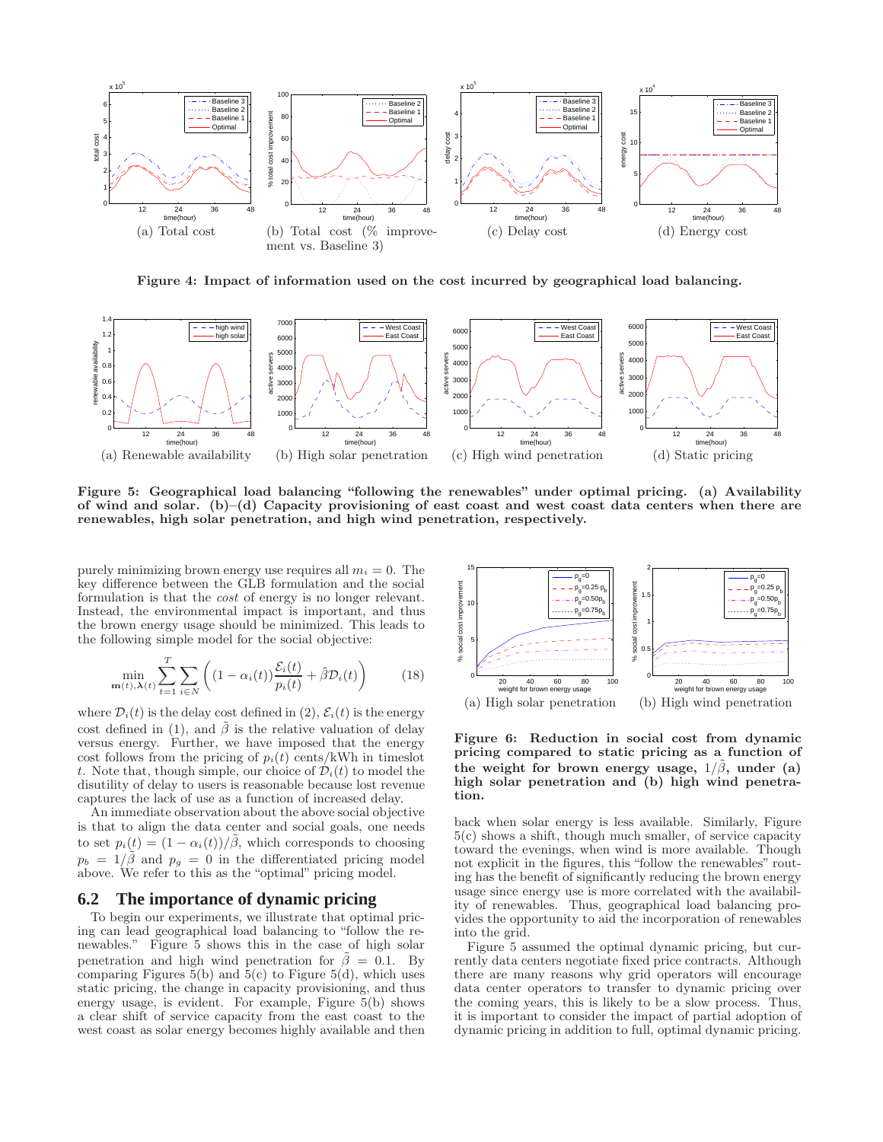

Figure 4: Impact of information used on the cost incurred by geographical load balancing.



Figure 5: Geographical load balancing "following the renewables" under optimal pricing. (a) Availability of wind and solar. (b)–(d) Capacity provisioning of east coast and west coast data centers when there are renewables, high solar penetration, and high wind penetration, respectively.

purely minimizing brown energy use requires all  $m_i = 0$ . The key difference between the GLB formulation and the social formulation is that the *cost* of energy is no longer relevant. Instead, the environmental impact is important, and thus the brown energy usage should be minimized. This leads to the following simple model for the social objective:

$$
\min_{\mathbf{m}(t),\mathbf{\lambda}(t)} \sum_{t=1}^{T} \sum_{i \in N} \left( (1 - \alpha_i(t)) \frac{\mathcal{E}_i(t)}{p_i(t)} + \tilde{\beta} \mathcal{D}_i(t) \right) \tag{18}
$$

where  $\mathcal{D}_i(t)$  is the delay cost defined in (2),  $\mathcal{E}_i(t)$  is the energy cost defined in (1), and  $\tilde{\beta}$  is the relative valuation of delay versus energy. Further, we have imposed that the energy cost follows from the pricing of  $p_i(t)$  cents/kWh in timeslot t. Note that, though simple, our choice of  $\mathcal{D}_i(t)$  to model the disutility of delay to users is reasonable because lost revenue captures the lack of use as a function of increased delay.

An immediate observation about the above social objective is that to align the data center and social goals, one needs to set  $p_i(t) = (1 - \alpha_i(t))/\tilde{\beta}$ , which corresponds to choosing  $p_b = 1/\tilde{\beta}$  and  $p_g = 0$  in the differentiated pricing model above. We refer to this as the "optimal" pricing model.

### **6.2 The importance of dynamic pricing**

To begin our experiments, we illustrate that optimal pricing can lead geographical load balancing to "follow the renewables." Figure 5 shows this in the case of high solar penetration and high wind penetration for  $\tilde{\beta} = 0.1$ . By comparing Figures  $\bar{5}$ (b) and  $\bar{5}$ (c) to Figure  $5$ (d), which uses static pricing, the change in capacity provisioning, and thus energy usage, is evident. For example, Figure 5(b) shows a clear shift of service capacity from the east coast to the west coast as solar energy becomes highly available and then



Figure 6: Reduction in social cost from dynamic pricing compared to static pricing as a function of the weight for brown energy usage,  $1/\tilde{\beta}$ , under (a) high solar penetration and (b) high wind penetration.

back when solar energy is less available. Similarly, Figure 5(c) shows a shift, though much smaller, of service capacity toward the evenings, when wind is more available. Though not explicit in the figures, this "follow the renewables" routing has the benefit of significantly reducing the brown energy usage since energy use is more correlated with the availability of renewables. Thus, geographical load balancing provides the opportunity to aid the incorporation of renewables into the grid.

Figure 5 assumed the optimal dynamic pricing, but currently data centers negotiate fixed price contracts. Although there are many reasons why grid operators will encourage data center operators to transfer to dynamic pricing over the coming years, this is likely to be a slow process. Thus, it is important to consider the impact of partial adoption of dynamic pricing in addition to full, optimal dynamic pricing.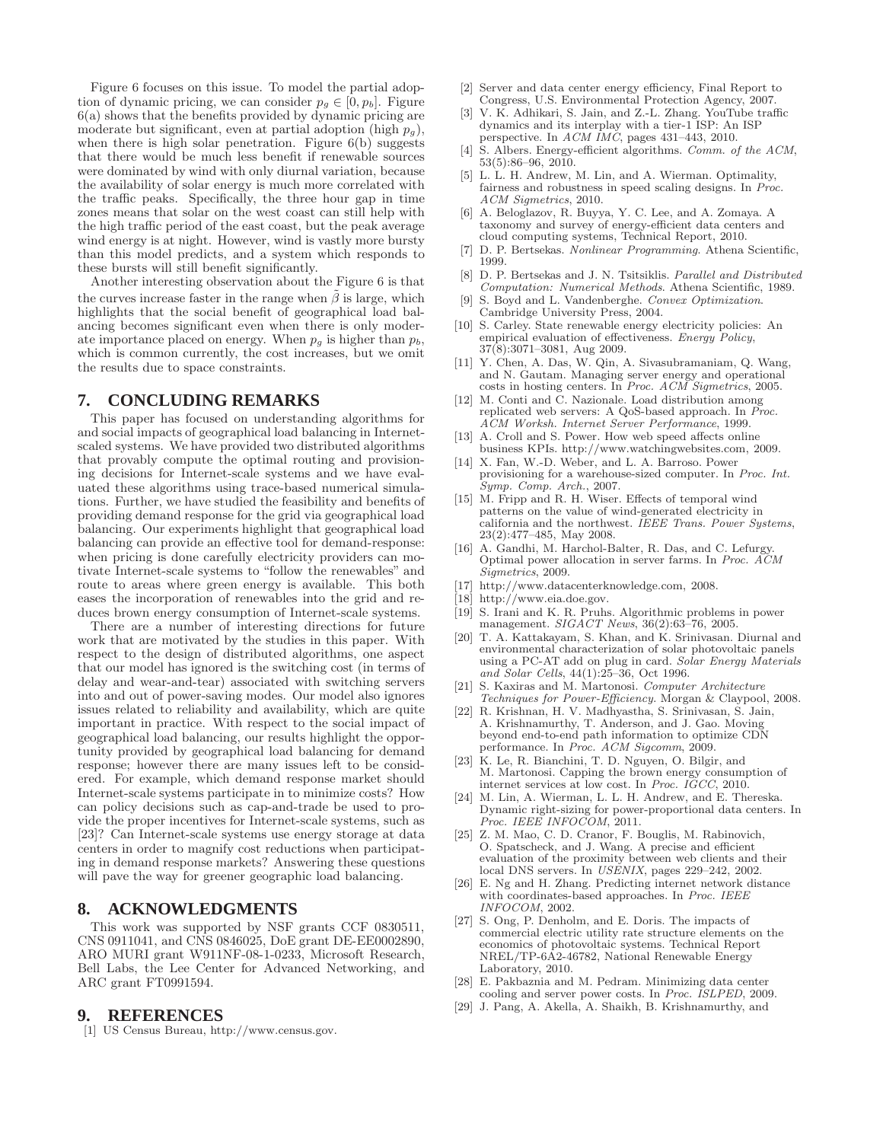Figure 6 focuses on this issue. To model the partial adoption of dynamic pricing, we can consider  $p_g \in [0, p_b]$ . Figure 6(a) shows that the benefits provided by dynamic pricing are moderate but significant, even at partial adoption (high  $p_q$ ), when there is high solar penetration. Figure 6(b) suggests that there would be much less benefit if renewable sources were dominated by wind with only diurnal variation, because the availability of solar energy is much more correlated with the traffic peaks. Specifically, the three hour gap in time zones means that solar on the west coast can still help with the high traffic period of the east coast, but the peak average wind energy is at night. However, wind is vastly more bursty than this model predicts, and a system which responds to these bursts will still benefit significantly.

Another interesting observation about the Figure 6 is that the curves increase faster in the range when  $\tilde{\beta}$  is large, which highlights that the social benefit of geographical load balancing becomes significant even when there is only moderate importance placed on energy. When  $p<sub>g</sub>$  is higher than  $p<sub>b</sub>$ , which is common currently, the cost increases, but we omit the results due to space constraints.

# **7. CONCLUDING REMARKS**

This paper has focused on understanding algorithms for and social impacts of geographical load balancing in Internetscaled systems. We have provided two distributed algorithms that provably compute the optimal routing and provisioning decisions for Internet-scale systems and we have evaluated these algorithms using trace-based numerical simulations. Further, we have studied the feasibility and benefits of providing demand response for the grid via geographical load balancing. Our experiments highlight that geographical load balancing can provide an effective tool for demand-response: when pricing is done carefully electricity providers can motivate Internet-scale systems to "follow the renewables" and route to areas where green energy is available. This both eases the incorporation of renewables into the grid and reduces brown energy consumption of Internet-scale systems.

There are a number of interesting directions for future work that are motivated by the studies in this paper. With respect to the design of distributed algorithms, one aspect that our model has ignored is the switching cost (in terms of delay and wear-and-tear) associated with switching servers into and out of power-saving modes. Our model also ignores issues related to reliability and availability, which are quite important in practice. With respect to the social impact of geographical load balancing, our results highlight the opportunity provided by geographical load balancing for demand response; however there are many issues left to be considered. For example, which demand response market should Internet-scale systems participate in to minimize costs? How can policy decisions such as cap-and-trade be used to provide the proper incentives for Internet-scale systems, such as [23]? Can Internet-scale systems use energy storage at data centers in order to magnify cost reductions when participating in demand response markets? Answering these questions will pave the way for greener geographic load balancing.

### **8. ACKNOWLEDGMENTS**

This work was supported by NSF grants CCF 0830511, CNS 0911041, and CNS 0846025, DoE grant DE-EE0002890, ARO MURI grant W911NF-08-1-0233, Microsoft Research, Bell Labs, the Lee Center for Advanced Networking, and ARC grant FT0991594.

### **9. REFERENCES**

[1] US Census Bureau, http://www.census.gov.

- [2] Server and data center energy efficiency, Final Report to Congress, U.S. Environmental Protection Agency, 2007.
- V. K. Adhikari, S. Jain, and Z.-L. Zhang. YouTube traffic dynamics and its interplay with a tier-1 ISP: An ISP perspective. In *ACM IMC*, pages 431–443, 2010.
- [4] S. Albers. Energy-efficient algorithms. *Comm. of the ACM*, 53(5):86–96, 2010.
- [5] L. L. H. Andrew, M. Lin, and A. Wierman. Optimality, fairness and robustness in speed scaling designs. In *Proc. ACM Sigmetrics*, 2010.
- [6] A. Beloglazov, R. Buyya, Y. C. Lee, and A. Zomaya. A taxonomy and survey of energy-efficient data centers and cloud computing systems, Technical Report, 2010.
- [7] D. P. Bertsekas. *Nonlinear Programming*. Athena Scientific, 1999.
- [8] D. P. Bertsekas and J. N. Tsitsiklis. *Parallel and Distributed Computation: Numerical Methods*. Athena Scientific, 1989.
- [9] S. Boyd and L. Vandenberghe. *Convex Optimization*. Cambridge University Press, 2004.
- [10] S. Carley. State renewable energy electricity policies: An empirical evaluation of effectiveness. *Energy Policy*, 37(8):3071–3081, Aug 2009.
- [11] Y. Chen, A. Das, W. Qin, A. Sivasubramaniam, Q. Wang, and N. Gautam. Managing server energy and operational costs in hosting centers. In *Proc. ACM Sigmetrics*, 2005.
- [12] M. Conti and C. Nazionale. Load distribution among replicated web servers: A QoS-based approach. In *Proc. ACM Worksh. Internet Server Performance*, 1999.
- [13] A. Croll and S. Power. How web speed affects online business KPIs. http://www.watchingwebsites.com, 2009.
- [14] X. Fan, W.-D. Weber, and L. A. Barroso. Power provisioning for a warehouse-sized computer. In *Proc. Int. Symp. Comp. Arch.*, 2007.
- [15] M. Fripp and R. H. Wiser. Effects of temporal wind patterns on the value of wind-generated electricity in california and the northwest. *IEEE Trans. Power Systems*, 23(2):477–485, May 2008.
- [16] A. Gandhi, M. Harchol-Balter, R. Das, and C. Lefurgy. Optimal power allocation in server farms. In *Proc. ACM Sigmetrics*, 2009.
- [17] http://www.datacenterknowledge.com, 2008.
- [18] http://www.eia.doe.gov.
- [19] S. Irani and K. R. Pruhs. Algorithmic problems in power management. *SIGACT News*, 36(2):63–76, 2005.
- [20] T. A. Kattakayam, S. Khan, and K. Srinivasan. Diurnal and environmental characterization of solar photovoltaic panels using a PC-AT add on plug in card. *Solar Energy Materials and Solar Cells*, 44(1):25–36, Oct 1996.
- [21] S. Kaxiras and M. Martonosi. *Computer Architecture Techniques for Power-Efficiency*. Morgan & Claypool, 2008.
- [22] R. Krishnan, H. V. Madhyastha, S. Srinivasan, S. Jain, A. Krishnamurthy, T. Anderson, and J. Gao. Moving beyond end-to-end path information to optimize CDN performance. In *Proc. ACM Sigcomm*, 2009.
- [23] K. Le, R. Bianchini, T. D. Nguyen, O. Bilgir, and M. Martonosi. Capping the brown energy consumption of internet services at low cost. In *Proc. IGCC*, 2010.
- [24] M. Lin, A. Wierman, L. L. H. Andrew, and E. Thereska. Dynamic right-sizing for power-proportional data centers. In *Proc. IEEE INFOCOM*, 2011.
- [25] Z. M. Mao, C. D. Cranor, F. Bouglis, M. Rabinovich, O. Spatscheck, and J. Wang. A precise and efficient evaluation of the proximity between web clients and their local DNS servers. In *USENIX*, pages 229–242, 2002.
- [26] E. Ng and H. Zhang. Predicting internet network distance with coordinates-based approaches. In *Proc. IEEE INFOCOM*, 2002.
- [27] S. Ong, P. Denholm, and E. Doris. The impacts of commercial electric utility rate structure elements on the economics of photovoltaic systems. Technical Report NREL/TP-6A2-46782, National Renewable Energy Laboratory, 2010.
- [28] E. Pakbaznia and M. Pedram. Minimizing data center cooling and server power costs. In *Proc. ISLPED*, 2009.
- [29] J. Pang, A. Akella, A. Shaikh, B. Krishnamurthy, and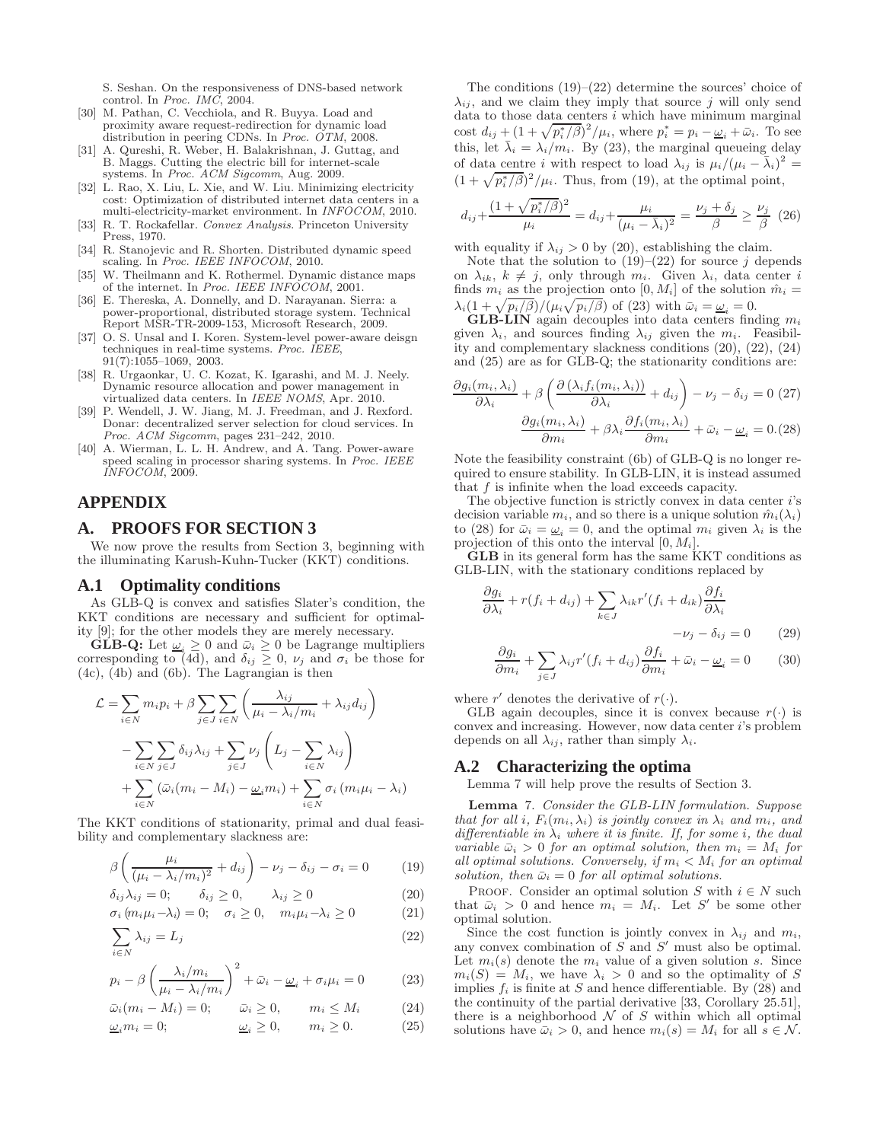S. Seshan. On the responsiveness of DNS-based network control. In *Proc. IMC*, 2004.

- [30] M. Pathan, C. Vecchiola, and R. Buyya. Load and proximity aware request-redirection for dynamic load distribution in peering CDNs. In *Proc. OTM*, 2008.
- [31] A. Qureshi, R. Weber, H. Balakrishnan, J. Guttag, and B. Maggs. Cutting the electric bill for internet-scale systems. In *Proc. ACM Sigcomm*, Aug. 2009.
- [32] L. Rao, X. Liu, L. Xie, and W. Liu. Minimizing electricity cost: Optimization of distributed internet data centers in a multi-electricity-market environment. In *INFOCOM*, 2010.
- [33] R. T. Rockafellar. *Convex Analysis*. Princeton University Press, 1970.
- [34] R. Stanojevic and R. Shorten. Distributed dynamic speed scaling. In *Proc. IEEE INFOCOM*, 2010.
- [35] W. Theilmann and K. Rothermel. Dynamic distance maps of the internet. In *Proc. IEEE INFOCOM*, 2001.
- [36] E. Thereska, A. Donnelly, and D. Narayanan. Sierra: a power-proportional, distributed storage system. Technical Report MSR-TR-2009-153, Microsoft Research, 2009.
- [37] O. S. Unsal and I. Koren. System-level power-aware deisgn techniques in real-time systems. *Proc. IEEE*, 91(7):1055–1069, 2003.
- [38] R. Urgaonkar, U. C. Kozat, K. Igarashi, and M. J. Neely. Dynamic resource allocation and power management in virtualized data centers. In *IEEE NOMS*, Apr. 2010.
- [39] P. Wendell, J. W. Jiang, M. J. Freedman, and J. Rexford. Donar: decentralized server selection for cloud services. In *Proc. ACM Sigcomm*, pages 231–242, 2010.
- [40] A. Wierman, L. L. H. Andrew, and A. Tang. Power-aware speed scaling in processor sharing systems. In *Proc. IEEE INFOCOM*, 2009.

# **APPENDIX**

### **A. PROOFS FOR SECTION 3**

We now prove the results from Section 3, beginning with the illuminating Karush-Kuhn-Tucker (KKT) conditions.

## **A.1 Optimality conditions**

As GLB-Q is convex and satisfies Slater's condition, the KKT conditions are necessary and sufficient for optimality [9]; for the other models they are merely necessary.

**GLB-Q:** Let  $\underline{\omega}_i \geq 0$  and  $\overline{\omega}_i \geq 0$  be Lagrange multipliers corresponding to (4d), and  $\delta_{ij} \geq 0$ ,  $\nu_j$  and  $\sigma_i$  be those for (4c), (4b) and (6b). The Lagrangian is then

$$
\mathcal{L} = \sum_{i \in N} m_i p_i + \beta \sum_{j \in J} \sum_{i \in N} \left( \frac{\lambda_{ij}}{\mu_i - \lambda_i / m_i} + \lambda_{ij} d_{ij} \right)
$$

$$
- \sum_{i \in N} \sum_{j \in J} \delta_{ij} \lambda_{ij} + \sum_{j \in J} \nu_j \left( L_j - \sum_{i \in N} \lambda_{ij} \right)
$$

$$
+ \sum_{i \in N} \left( \bar{\omega}_i (m_i - M_i) - \underline{\omega}_i m_i \right) + \sum_{i \in N} \sigma_i \left( m_i \mu_i - \lambda_i \right)
$$

The KKT conditions of stationarity, primal and dual feasibility and complementary slackness are:

$$
\beta \left( \frac{\mu_i}{(\mu_i - \lambda_i/m_i)^2} + d_{ij} \right) - \nu_j - \delta_{ij} - \sigma_i = 0 \tag{19}
$$

$$
\delta_{ij}\lambda_{ij}=0; \qquad \delta_{ij}\geq 0, \qquad \lambda_{ij}\geq 0 \tag{20}
$$

$$
\sigma_i (m_i \mu_i - \lambda_i) = 0; \quad \sigma_i \ge 0, \quad m_i \mu_i - \lambda_i \ge 0 \tag{21}
$$

$$
\sum_{i \in N} \lambda_{ij} = L_j \tag{22}
$$

$$
p_i - \beta \left(\frac{\lambda_i/m_i}{\mu_i - \lambda_i/m_i}\right)^2 + \bar{\omega}_i - \underline{\omega}_i + \sigma_i \mu_i = 0 \tag{23}
$$

$$
\bar{\omega}_i(m_i - M_i) = 0; \qquad \bar{\omega}_i \ge 0, \qquad m_i \le M_i \tag{24}
$$

$$
\underline{\omega}_i m_i = 0; \qquad \underline{\omega}_i \ge 0, \qquad m_i \ge 0. \tag{25}
$$

The conditions  $(19)$ – $(22)$  determine the sources' choice of  $\lambda_{ij}$ , and we claim they imply that source j will only send data to those data centers  $i$  which have minimum marginal cost  $d_{ij} + (1 + \sqrt{p_i^* / \beta})^2 / \mu_i$ , where  $p_i^* = p_i - \underline{\omega}_i + \overline{\omega}_i$ . To see this, let  $\bar{\lambda}_i = \lambda_i/m_i$ . By (23), the marginal queueing delay of data centre *i* with respect to load  $\lambda_{ij}$  is  $\mu_i/(\mu_i - \bar{\lambda}_i)^2$  $(1+\sqrt{p_i^*/\beta})^2/\mu_i$ . Thus, from (19), at the optimal point,

$$
d_{ij} + \frac{(1 + \sqrt{p_i^*/\beta})^2}{\mu_i} = d_{ij} + \frac{\mu_i}{(\mu_i - \bar{\lambda}_i)^2} = \frac{\nu_j + \delta_j}{\beta} \ge \frac{\nu_j}{\beta} \tag{26}
$$

with equality if  $\lambda_{ij} > 0$  by (20), establishing the claim.

Note that the solution to  $(19)$ – $(22)$  for source j depends on  $\lambda_{ik}$ ,  $k \neq j$ , only through  $m_i$ . Given  $\lambda_i$ , data center i finds  $m_i$  as the projection onto [0,  $M_i$ ] of the solution  $\hat{m}_i =$  $\lambda_i(1+\sqrt{p_i/\beta})/(\mu_i\sqrt{p_i/\beta})$  of (23) with  $\bar{\omega}_i=\underline{\omega}_i=0$ .

**GLB-LIN** again decouples into data centers finding  $m_i$ given  $\lambda_i$ , and sources finding  $\lambda_{ij}$  given the  $m_i$ . Feasibility and complementary slackness conditions (20), (22), (24) and (25) are as for GLB-Q; the stationarity conditions are:

$$
\frac{\partial g_i(m_i, \lambda_i)}{\partial \lambda_i} + \beta \left( \frac{\partial (\lambda_i f_i(m_i, \lambda_i))}{\partial \lambda_i} + d_{ij} \right) - \nu_j - \delta_{ij} = 0 \tag{27}
$$

$$
\frac{\partial g_i(m_i, \lambda_i)}{\partial m_i} + \beta \lambda_i \frac{\partial f_i(m_i, \lambda_i)}{\partial m_i} + \bar{\omega}_i - \underline{\omega}_i = 0. \tag{28}
$$

Note the feasibility constraint (6b) of GLB-Q is no longer required to ensure stability. In GLB-LIN, it is instead assumed that f is infinite when the load exceeds capacity.

The objective function is strictly convex in data center i's decision variable  $m_i$ , and so there is a unique solution  $\hat{m}_i(\lambda_i)$ to (28) for  $\bar{\omega}_i = \underline{\omega}_i = 0$ , and the optimal  $m_i$  given  $\lambda_i$  is the projection of this onto the interval  $[0, M_i]$ .

GLB in its general form has the same KKT conditions as GLB-LIN, with the stationary conditions replaced by

$$
\frac{\partial g_i}{\partial \lambda_i} + r(f_i + d_{ij}) + \sum_{k \in J} \lambda_{ik} r'(f_i + d_{ik}) \frac{\partial f_i}{\partial \lambda_i} -\nu_j - \delta_{ij} = 0 \qquad (29)
$$

$$
\frac{\partial g_i}{\partial m_i} + \sum_{j \in J} \lambda_{ij} r'(f_i + d_{ij}) \frac{\partial f_i}{\partial m_i} + \bar{\omega}_i - \underline{\omega}_i = 0 \tag{30}
$$

where  $r'$  denotes the derivative of  $r(\cdot)$ .

GLB again decouples, since it is convex because  $r(\cdot)$  is convex and increasing. However, now data center i's problem depends on all  $\lambda_{ij}$ , rather than simply  $\lambda_i$ .

# **A.2 Characterizing the optima**

Lemma 7 will help prove the results of Section 3.

Lemma 7. *Consider the GLB-LIN formulation. Suppose that for all i,*  $F_i(m_i, \lambda_i)$  *is jointly convex in*  $\lambda_i$  *and*  $m_i$ *, and differentiable in*  $\lambda_i$  *where it is finite. If, for some i, the dual variable*  $\bar{\omega}_i > 0$  *for an optimal solution, then*  $m_i = M_i$  *for all optimal solutions. Conversely, if* m<sup>i</sup> < M<sup>i</sup> *for an optimal solution, then*  $\bar{\omega}_i = 0$  *for all optimal solutions.* 

PROOF. Consider an optimal solution S with  $i \in N$  such that  $\bar{\omega}_i > 0$  and hence  $m_i = M_i$ . Let S' be some other optimal solution.

Since the cost function is jointly convex in  $\lambda_{ij}$  and  $m_i$ , any convex combination of  $S$  and  $S'$  must also be optimal. Let  $m_i(s)$  denote the  $m_i$  value of a given solution s. Since  $m_i(S) = M_i$ , we have  $\lambda_i > 0$  and so the optimality of S implies  $f_i$  is finite at S and hence differentiable. By (28) and the continuity of the partial derivative [33, Corollary 25.51], there is a neighborhood  $N$  of S within which all optimal solutions have  $\bar{\omega}_i > 0$ , and hence  $m_i(s) = M_i$  for all  $s \in \mathcal{N}$ .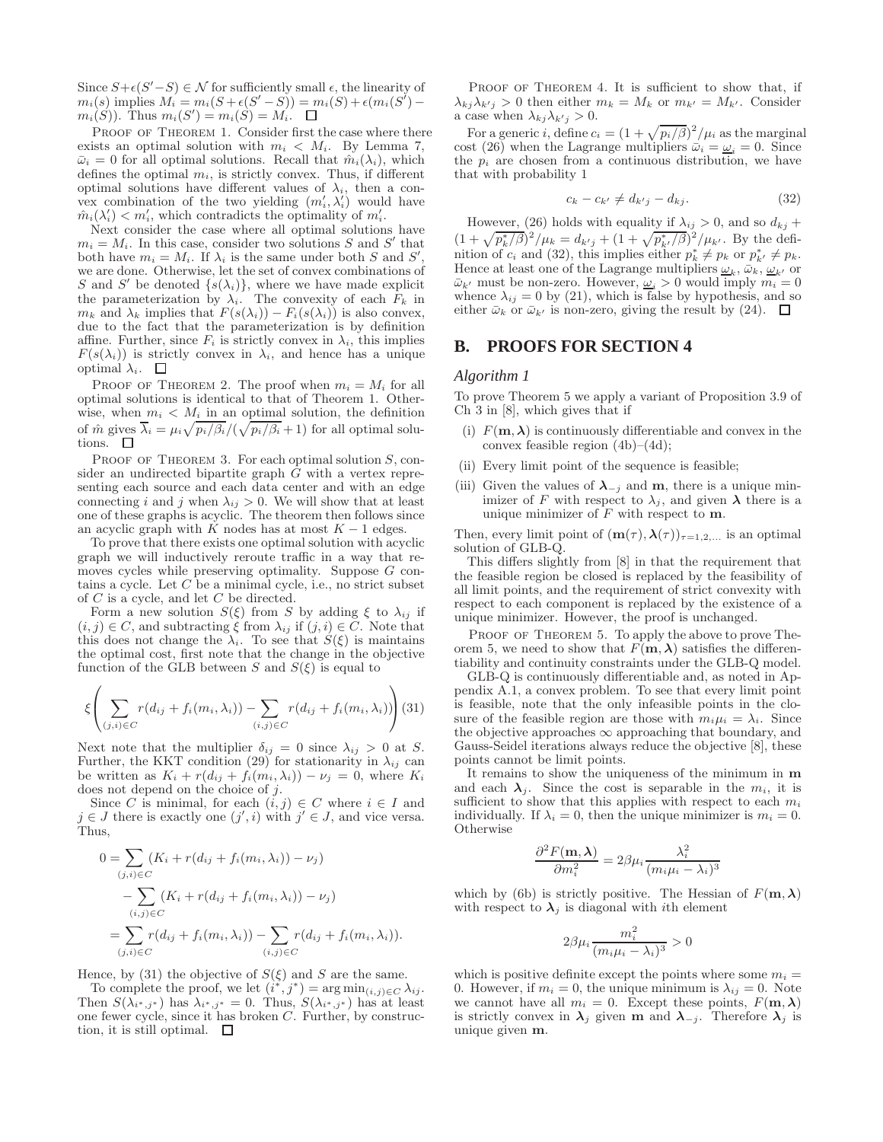Since  $S + \epsilon (S' - S) \in \mathcal{N}$  for sufficiently small  $\epsilon$ , the linearity of  $m_i(s)$  implies  $M_i = m_i(S + \epsilon(S' - S)) = m_i(S) + \epsilon(m_i(S')$  $m_i(S)$ ). Thus  $m_i(S') = m_i(S) = M'_i$ .

PROOF OF THEOREM 1. Consider first the case where there exists an optimal solution with  $m_i \, < \, M_i$ . By Lemma 7,  $\bar{\omega}_i = 0$  for all optimal solutions. Recall that  $\hat{m}_i(\lambda_i)$ , which defines the optimal  $m_i$ , is strictly convex. Thus, if different optimal solutions have different values of  $\lambda_i$ , then a convex combination of the two yielding  $(m'_i, \lambda'_i)$  would have  $\hat{m}_i(\lambda'_i) < m'_i$ , which contradicts the optimality of  $m'_i$ .

Next consider the case where all optimal solutions have  $m_i = M_i$ . In this case, consider two solutions S and S' that both have  $m_i = M_i$ . If  $\lambda_i$  is the same under both S and S', we are done. Otherwise, let the set of convex combinations of S and S' be denoted  $\{s(\lambda_i)\}\text{, where we have made explicit }$ the parameterization by  $\lambda_i$ . The convexity of each  $F_k$  in  $m_k$  and  $\lambda_k$  implies that  $F(s(\lambda_i)) - F_i(s(\lambda_i))$  is also convex, due to the fact that the parameterization is by definition affine. Further, since  $F_i$  is strictly convex in  $\lambda_i$ , this implies  $F(s(\lambda_i))$  is strictly convex in  $\lambda_i$ , and hence has a unique optimal  $\lambda_i$ .  $\Box$ 

PROOF OF THEOREM 2. The proof when  $m_i = M_i$  for all optimal solutions is identical to that of Theorem 1. Otherwise, when  $m_i < M_i$  in an optimal solution, the definition of  $\hat{m}$  gives  $\overline{\lambda}_i = \mu_i \sqrt{p_i/\beta_i} / (\sqrt{p_i/\beta_i} + 1)$  for all optimal solutions.  $\quad \Box$ 

PROOF OF THEOREM 3. For each optimal solution  $S$ , consider an undirected bipartite graph G with a vertex representing each source and each data center and with an edge connecting i and j when  $\lambda_{ij} > 0$ . We will show that at least one of these graphs is acyclic. The theorem then follows since an acyclic graph with  $\tilde{K}$  nodes has at most  $K - 1$  edges.

To prove that there exists one optimal solution with acyclic graph we will inductively reroute traffic in a way that removes cycles while preserving optimality. Suppose G contains a cycle. Let  $C$  be a minimal cycle, i.e., no strict subset of C is a cycle, and let C be directed.

Form a new solution  $S(\xi)$  from S by adding  $\xi$  to  $\lambda_{ij}$  if  $(i, j) \in C$ , and subtracting  $\xi$  from  $\lambda_{ij}$  if  $(j, i) \in C$ . Note that this does not change the  $\lambda_i$ . To see that  $S(\xi)$  is maintains the optimal cost, first note that the change in the objective function of the GLB between S and  $S(\xi)$  is equal to

$$
\xi \left( \sum_{(j,i) \in C} r(d_{ij} + f_i(m_i, \lambda_i)) - \sum_{(i,j) \in C} r(d_{ij} + f_i(m_i, \lambda_i)) \right) (31)
$$

Next note that the multiplier  $\delta_{ij} = 0$  since  $\lambda_{ij} > 0$  at S. Further, the KKT condition (29) for stationarity in  $\lambda_{ij}$  can be written as  $K_i + r(d_{ij} + f_i(m_i, \lambda_i)) - \nu_j = 0$ , where  $K_i$ does not depend on the choice of j.

Since C is minimal, for each  $(i, j) \in C$  where  $i \in I$  and  $j \in J$  there is exactly one  $(j', i)$  with  $j' \in J$ , and vice versa. Thus,

$$
0 = \sum_{(j,i) \in C} (K_i + r(d_{ij} + f_i(m_i, \lambda_i)) - \nu_j)
$$
  
- 
$$
\sum_{(i,j) \in C} (K_i + r(d_{ij} + f_i(m_i, \lambda_i)) - \nu_j)
$$
  
= 
$$
\sum_{(j,i) \in C} r(d_{ij} + f_i(m_i, \lambda_i)) - \sum_{(i,j) \in C} r(d_{ij} + f_i(m_i, \lambda_i)).
$$

Hence, by (31) the objective of  $S(\xi)$  and S are the same.

To complete the proof, we let  $(i^*, j^*) = \arg \min_{(i,j) \in C} \lambda_{ij}$ . Then  $S(\lambda_{i^*,j^*})$  has  $\lambda_{i^*,j^*} = 0$ . Thus,  $S(\lambda_{i^*,j^*})$  has at least one fewer cycle, since it has broken C. Further, by construction, it is still optimal.  $\Box$ 

PROOF OF THEOREM 4. It is sufficient to show that, if  $\lambda_{kj}\lambda_{k'j} > 0$  then either  $m_k = M_k$  or  $m_{k'} = M_{k'}$ . Consider a case when  $\lambda_{kj}\lambda_{k'j} > 0$ .

For a generic i, define  $c_i = (1 + \sqrt{p_i/\beta})^2/\mu_i$  as the marginal cost (26) when the Lagrange multipliers  $\bar{\omega}_i = \underline{\omega}_i = 0$ . Since the  $p_i$  are chosen from a continuous distribution, we have that with probability 1

$$
c_k - c_{k'} \neq d_{k'j} - d_{kj}.\tag{32}
$$

However, (26) holds with equality if  $\lambda_{ij} > 0$ , and so  $d_{kj}$  +  $(1+\sqrt{p_k^*/\beta})^2/\mu_k = d_{k'j} + (1+\sqrt{p_{k'}^*/\beta})^2/\mu_{k'}.$  By the definition of  $c_i$  and (32), this implies either  $p_k^* \neq p_k$  or  $p_{k'}^* \neq p_k$ . Hence at least one of the Lagrange multipliers  $\omega_k$ ,  $\bar{\omega}_k$ ,  $\omega_{k'}$  or  $\bar{\omega}_{k'}$  must be non-zero. However,  $\underline{\omega}_i > 0$  would imply  $m_i = 0$ whence  $\lambda_{ij} = 0$  by (21), which is false by hypothesis, and so either  $\bar{\omega}_k$  or  $\bar{\omega}_{k'}$  is non-zero, giving the result by (24).  $\Box$ 

### **B. PROOFS FOR SECTION 4**

#### *Algorithm 1*

To prove Theorem 5 we apply a variant of Proposition 3.9 of Ch 3 in [8], which gives that if

- (i)  $F(\mathbf{m},\boldsymbol{\lambda})$  is continuously differentiable and convex in the convex feasible region (4b)–(4d);
- (ii) Every limit point of the sequence is feasible;
- (iii) Given the values of  $\lambda_{-i}$  and m, there is a unique minimizer of F with respect to  $\lambda_j$ , and given  $\lambda$  there is a unique minimizer of  $F$  with respect to  $m$ .

Then, every limit point of  $(m(\tau), \lambda(\tau))_{\tau=1,2,\dots}$  is an optimal solution of GLB-Q.

This differs slightly from [8] in that the requirement that the feasible region be closed is replaced by the feasibility of all limit points, and the requirement of strict convexity with respect to each component is replaced by the existence of a unique minimizer. However, the proof is unchanged.

PROOF OF THEOREM 5. To apply the above to prove Theorem 5, we need to show that  $F(\mathbf{m}, \lambda)$  satisfies the differentiability and continuity constraints under the GLB-Q model.

GLB-Q is continuously differentiable and, as noted in Appendix A.1, a convex problem. To see that every limit point is feasible, note that the only infeasible points in the closure of the feasible region are those with  $m_i\mu_i = \lambda_i$ . Since the objective approaches  $\infty$  approaching that boundary, and Gauss-Seidel iterations always reduce the objective [8], these points cannot be limit points.

It remains to show the uniqueness of the minimum in m and each  $\lambda_j$ . Since the cost is separable in the  $m_i$ , it is sufficient to show that this applies with respect to each  $m_i$ individually. If  $\lambda_i = 0$ , then the unique minimizer is  $m_i = 0$ . Otherwise

$$
\frac{\partial^2 F(\mathbf{m}, \lambda)}{\partial m_i^2} = 2\beta \mu_i \frac{\lambda_i^2}{(m_i \mu_i - \lambda_i)^3}
$$

which by (6b) is strictly positive. The Hessian of  $F(\mathbf{m},\boldsymbol{\lambda})$ with respect to  $\lambda_i$  is diagonal with ith element

$$
2\beta\mu_i \frac{m_i^2}{(m_i\mu_i - \lambda_i)^3} > 0
$$

which is positive definite except the points where some  $m_i =$ 0. However, if  $m_i = 0$ , the unique minimum is  $\lambda_{ij} = 0$ . Note we cannot have all  $m_i = 0$ . Except these points,  $F(\mathbf{m}, \lambda)$ is strictly convex in  $\lambda_j$  given m and  $\lambda_{-j}$ . Therefore  $\lambda_j$  is unique given m.